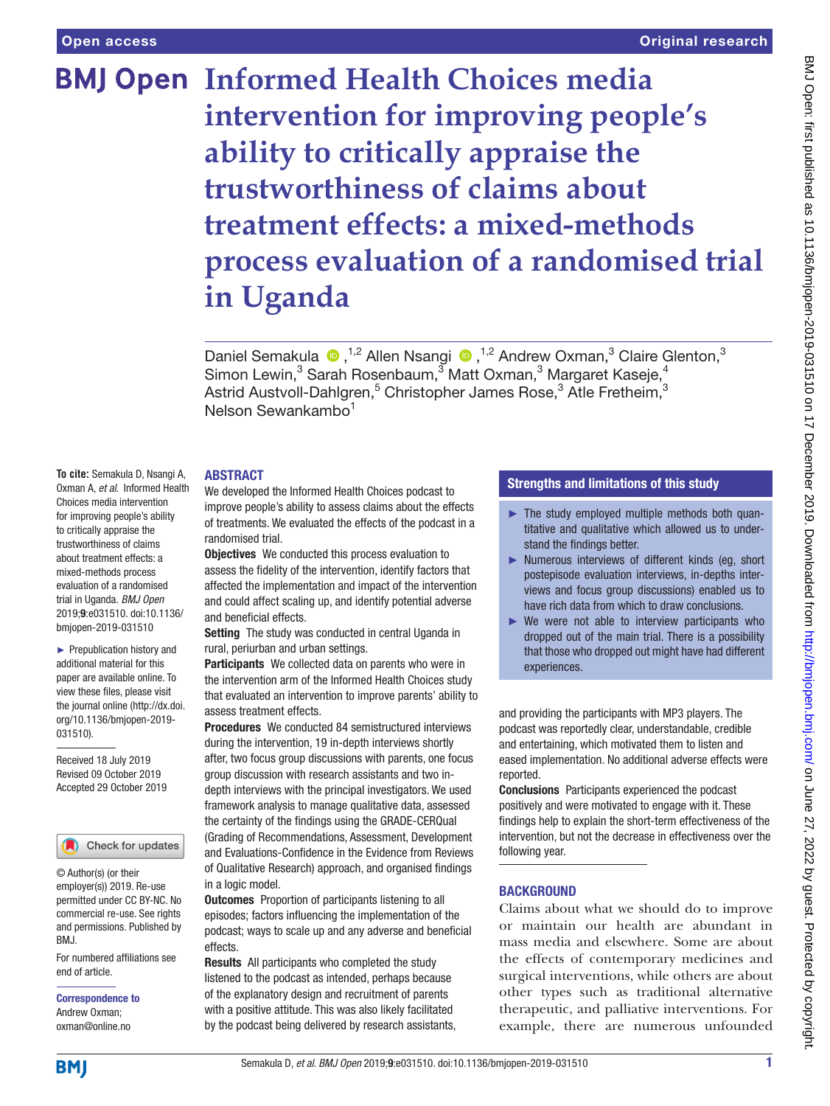# **BMJ Open Informed Health Choices media intervention for improving people's ability to critically appraise the trustworthiness of claims about treatment effects: a mixed-methods process evaluation of a randomised trial in Uganda**

DanielSemakula <sup>®</sup>,<sup>1,2</sup> Allen Nsangi <sup>®</sup>,<sup>1,2</sup> Andrew Oxman,<sup>3</sup> Claire Glenton,<sup>3</sup> Simon Lewin,<sup>3</sup> Sarah Rosenbaum,<sup>3</sup> Matt Oxman,<sup>3</sup> Margaret Kaseje,<sup>4</sup> Astrid Austvoll-Dahlgren,<sup>5</sup> Christopher James Rose,<sup>3</sup> Atle Fretheim,<sup>3</sup> Nelson Sewankambo<sup>1</sup>

#### **ABSTRACT**

**To cite:** Semakula D, Nsangi A, Oxman A, *et al*. Informed Health Choices media intervention for improving people's ability to critically appraise the trustworthiness of claims about treatment effects: a mixed-methods process evaluation of a randomised trial in Uganda. *BMJ Open* 2019;9:e031510. doi:10.1136/ bmjopen-2019-031510

► Prepublication history and additional material for this paper are available online. To view these files, please visit the journal online (http://dx.doi. org/10.1136/bmjopen-2019- 031510).

Received 18 July 2019 Revised 09 October 2019 Accepted 29 October 2019



© Author(s) (or their employer(s)) 2019. Re-use permitted under CC BY-NC. No commercial re-use. See rights and permissions. Published by BMJ.

For numbered affiliations see end of article.

Correspondence to Andrew Oxman; oxman@online.no

We developed the Informed Health Choices podcast to improve people's ability to assess claims about the effects of treatments. We evaluated the effects of the podcast in a randomised trial.

**Objectives** We conducted this process evaluation to assess the fidelity of the intervention, identify factors that affected the implementation and impact of the intervention and could affect scaling up, and identify potential adverse and beneficial effects.

Setting The study was conducted in central Uganda in rural, periurban and urban settings.

Participants We collected data on parents who were in the intervention arm of the Informed Health Choices study that evaluated an intervention to improve parents' ability to assess treatment effects.

Procedures We conducted 84 semistructured interviews during the intervention, 19 in-depth interviews shortly after, two focus group discussions with parents, one focus group discussion with research assistants and two indepth interviews with the principal investigators. We used framework analysis to manage qualitative data, assessed the certainty of the findings using the GRADE-CERQual (Grading of Recommendations, Assessment, Development and Evaluations-Confidence in the Evidence from Reviews of Qualitative Research) approach, and organised findings in a logic model.

**Outcomes** Proportion of participants listening to all episodes; factors influencing the implementation of the podcast; ways to scale up and any adverse and beneficial effects.

Results All participants who completed the study listened to the podcast as intended, perhaps because of the explanatory design and recruitment of parents with a positive attitude. This was also likely facilitated by the podcast being delivered by research assistants,

# Strengths and limitations of this study

- $\blacktriangleright$  The study employed multiple methods both quantitative and qualitative which allowed us to understand the findings better.
- ► Numerous interviews of different kinds (eg, short postepisode evaluation interviews, in-depths interviews and focus group discussions) enabled us to have rich data from which to draw conclusions.
- $\triangleright$  We were not able to interview participants who dropped out of the main trial. There is a possibility that those who dropped out might have had different experiences.

and providing the participants with MP3 players. The podcast was reportedly clear, understandable, credible and entertaining, which motivated them to listen and eased implementation. No additional adverse effects were reported.

Conclusions Participants experienced the podcast positively and were motivated to engage with it. These findings help to explain the short-term effectiveness of the intervention, but not the decrease in effectiveness over the following year.

### **BACKGROUND**

Claims about what we should do to improve or maintain our health are abundant in mass media and elsewhere. Some are about the effects of contemporary medicines and surgical interventions, while others are about other types such as traditional alternative therapeutic, and palliative interventions. For example, there are numerous unfounded

**BMI**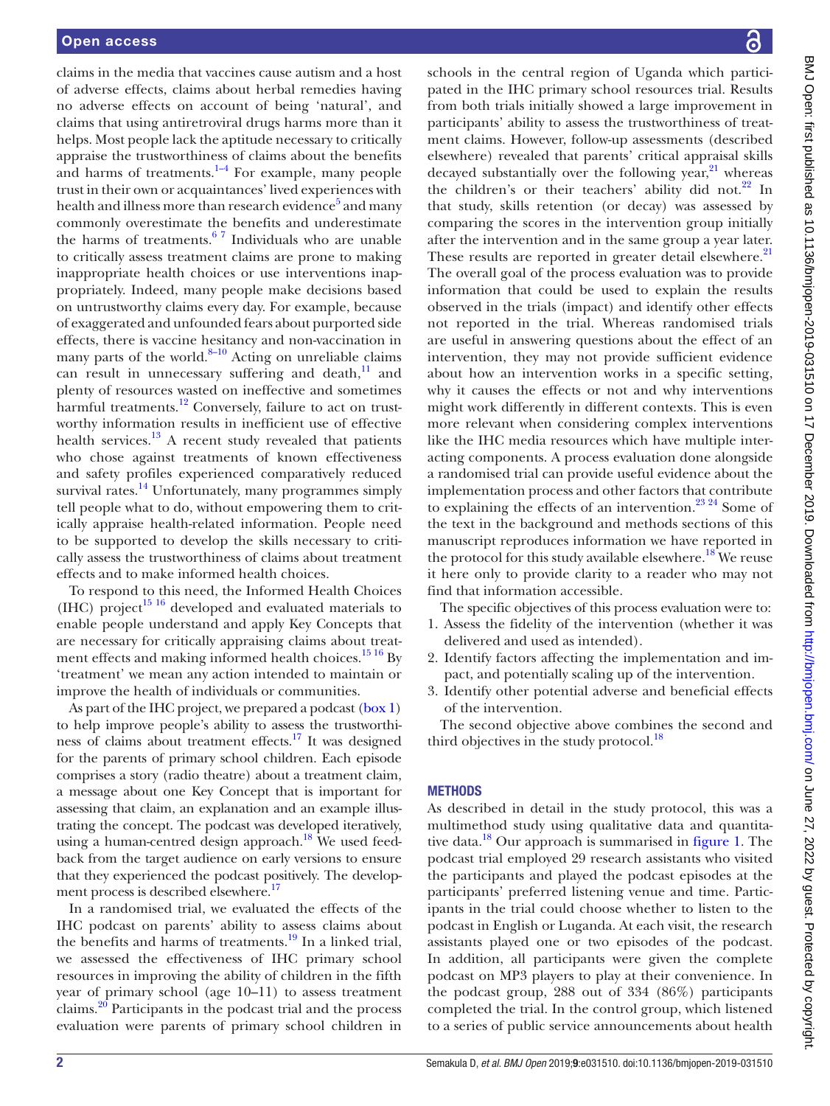claims in the media that vaccines cause autism and a host of adverse effects, claims about herbal remedies having no adverse effects on account of being 'natural', and claims that using antiretroviral drugs harms more than it helps. Most people lack the aptitude necessary to critically appraise the trustworthiness of claims about the benefits and harms of treatments. $^{1-4}$  For example, many people trust in their own or acquaintances' lived experiences with health and illness more than research evidence<sup>5</sup> and many commonly overestimate the benefits and underestimate the harms of treatments. $67$  Individuals who are unable to critically assess treatment claims are prone to making inappropriate health choices or use interventions inappropriately. Indeed, many people make decisions based on untrustworthy claims every day. For example, because of exaggerated and unfounded fears about purported side effects, there is vaccine hesitancy and non-vaccination in many parts of the world. $8-10$  Acting on unreliable claims can result in unnecessary suffering and death, $\frac{11}{11}$  $\frac{11}{11}$  $\frac{11}{11}$  and plenty of resources wasted on ineffective and sometimes harmful treatments.<sup>[12](#page-16-5)</sup> Conversely, failure to act on trustworthy information results in inefficient use of effective health services.<sup>[13](#page-16-6)</sup> A recent study revealed that patients who chose against treatments of known effectiveness and safety profiles experienced comparatively reduced survival rates.<sup>14</sup> Unfortunately, many programmes simply tell people what to do, without empowering them to critically appraise health-related information. People need to be supported to develop the skills necessary to critically assess the trustworthiness of claims about treatment effects and to make informed health choices.

To respond to this need, the Informed Health Choices (IHC) project<sup>15 16</sup> developed and evaluated materials to enable people understand and apply Key Concepts that are necessary for critically appraising claims about treat-ment effects and making informed health choices.<sup>[15 16](#page-16-8)</sup> By 'treatment' we mean any action intended to maintain or improve the health of individuals or communities.

As part of the IHC project, we prepared a podcast [\(box](#page-2-0) 1) to help improve people's ability to assess the trustworthiness of claims about treatment effects.[17](#page-16-9) It was designed for the parents of primary school children. Each episode comprises a story (radio theatre) about a treatment claim, a message about one Key Concept that is important for assessing that claim, an explanation and an example illustrating the concept. The podcast was developed iteratively, using a human-centred design approach.<sup>18</sup> We used feedback from the target audience on early versions to ensure that they experienced the podcast positively. The development process is described elsewhere.<sup>17</sup>

In a randomised trial, we evaluated the effects of the IHC podcast on parents' ability to assess claims about the benefits and harms of treatments.[19](#page-16-11) In a linked trial, we assessed the effectiveness of IHC primary school resources in improving the ability of children in the fifth year of primary school (age 10–11) to assess treatment claims[.20](#page-16-12) Participants in the podcast trial and the process evaluation were parents of primary school children in

schools in the central region of Uganda which participated in the IHC primary school resources trial. Results from both trials initially showed a large improvement in participants' ability to assess the trustworthiness of treatment claims. However, follow-up assessments (described elsewhere) revealed that parents' critical appraisal skills decayed substantially over the following year, $^{21}$  whereas the children's or their teachers' ability did not. $22$  In that study, skills retention (or decay) was assessed by comparing the scores in the intervention group initially after the intervention and in the same group a year later. These results are reported in greater detail elsewhere.<sup>[21](#page-16-13)</sup> The overall goal of the process evaluation was to provide information that could be used to explain the results observed in the trials (impact) and identify other effects not reported in the trial. Whereas randomised trials are useful in answering questions about the effect of an intervention, they may not provide sufficient evidence about how an intervention works in a specific setting, why it causes the effects or not and why interventions might work differently in different contexts. This is even more relevant when considering complex interventions like the IHC media resources which have multiple interacting components. A process evaluation done alongside a randomised trial can provide useful evidence about the implementation process and other factors that contribute to explaining the effects of an intervention.<sup>23 24</sup> Some of the text in the background and methods sections of this manuscript reproduces information we have reported in the protocol for this study available elsewhere.<sup>18</sup> We reuse it here only to provide clarity to a reader who may not find that information accessible.

The specific objectives of this process evaluation were to:

- 1. Assess the fidelity of the intervention (whether it was delivered and used as intended).
- 2. Identify factors affecting the implementation and impact, and potentially scaling up of the intervention.
- 3. Identify other potential adverse and beneficial effects of the intervention.

The second objective above combines the second and third objectives in the study protocol.<sup>18</sup>

# **METHODS**

As described in detail in the study protocol, this was a multimethod study using qualitative data and quantitative data.<sup>18</sup> Our approach is summarised in [figure](#page-3-0) 1. The podcast trial employed 29 research assistants who visited the participants and played the podcast episodes at the participants' preferred listening venue and time. Participants in the trial could choose whether to listen to the podcast in English or Luganda. At each visit, the research assistants played one or two episodes of the podcast. In addition, all participants were given the complete podcast on MP3 players to play at their convenience. In the podcast group, 288 out of 334 (86%) participants completed the trial. In the control group, which listened to a series of public service announcements about health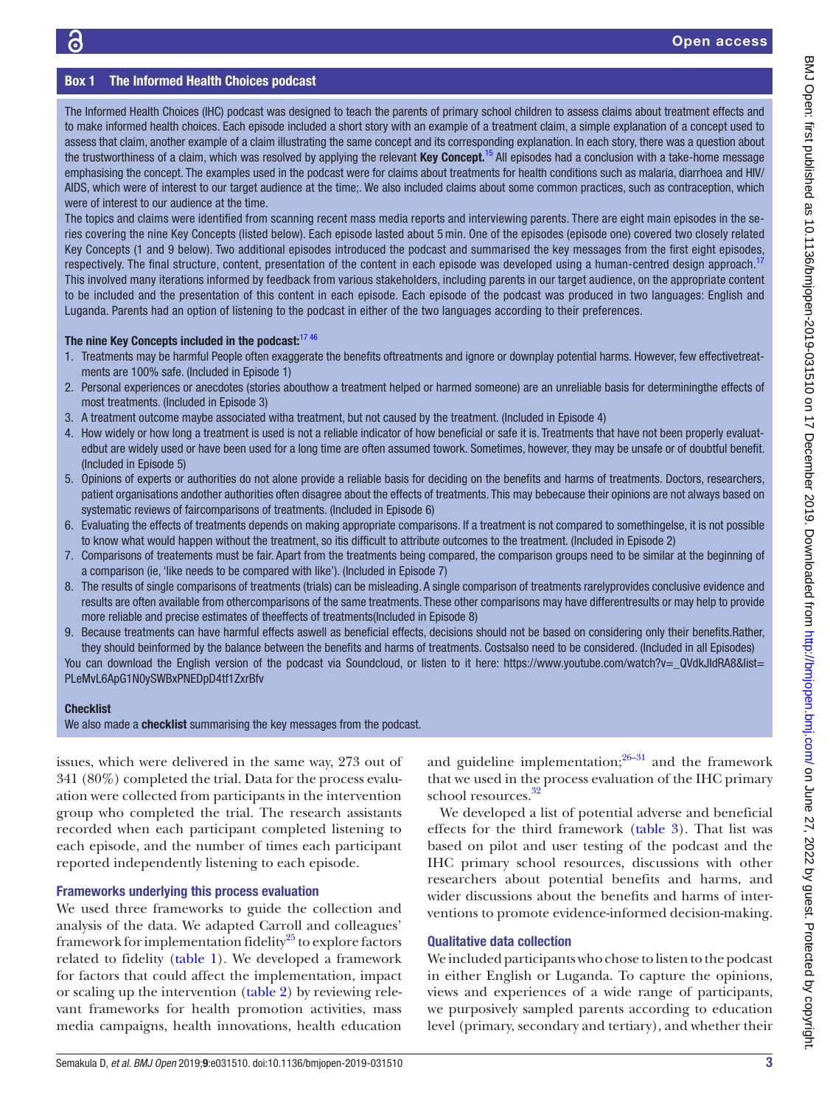# Box 1 The Informed Health Choices podcast

<span id="page-2-0"></span>The Informed Health Choices (IHC) podcast was designed to teach the parents of primary school children to assess claims about treatment effects and to make informed health choices. Each episode included a short story with an example of a treatment claim, a simple explanation of a concept used to assess that claim, another example of a claim illustrating the same concept and its corresponding explanation. In each story, there was a question about the trustworthiness of a claim, which was resolved by applying the relevant Key Concept.<sup>15</sup> All episodes had a conclusion with a take-home message emphasising the concept. The examples used in the podcast were for claims about treatments for health conditions such as malaria, diarrhoea and HIV/ AIDS, which were of interest to our target audience at the time;. We also included claims about some common practices, such as contraception, which were of interest to our audience at the time.

The topics and claims were identified from scanning recent mass media reports and interviewing parents. There are eight main episodes in the series covering the nine Key Concepts (listed below). Each episode lasted about 5 min. One of the episodes (episode one) covered two closely related Key Concepts (1 and 9 below). Two additional episodes introduced the podcast and summarised the key messages from the first eight episodes, respectively. The final structure, content, presentation of the content in each episode was developed using a human-centred design approach. This involved many iterations informed by feedback from various stakeholders, including parents in our target audience, on the appropriate content to be included and the presentation of this content in each episode. Each episode of the podcast was produced in two languages: English and Luganda. Parents had an option of listening to the podcast in either of the two languages according to their preferences.

# The nine Key Concepts included in the podcast:<sup>1746</sup>

- 1. Treatments may be harmful People often exaggerate the benefits oftreatments and ignore or downplay potential harms. However, few effectivetreatments are 100% safe. (Included in Episode 1)
- 2. Personal experiences or anecdotes (stories abouthow a treatment helped or harmed someone) are an unreliable basis for determiningthe effects of most treatments. (Included in Episode 3)
- 3. A treatment outcome maybe associated witha treatment, but not caused by the treatment. (Included in Episode 4)
- 4. How widely or how long a treatment is used is not a reliable indicator of how beneficial or safe it is. Treatments that have not been properly evaluatedbut are widely used or have been used for a long time are often assumed towork. Sometimes, however, they may be unsafe or of doubtful benefit. (Included in Episode 5)
- 5. Opinions of experts or authorities do not alone provide a reliable basis for deciding on the benefits and harms of treatments. Doctors, researchers, patient organisations andother authorities often disagree about the effects of treatments. This may bebecause their opinions are not always based on systematic reviews of faircomparisons of treatments. (Included in Episode 6)
- 6. Evaluating the effects of treatments depends on making appropriate comparisons. If a treatment is not compared to somethingelse, it is not possible to know what would happen without the treatment, so itis difficult to attribute outcomes to the treatment. (Included in Episode 2)
- 7. Comparisons of treatements must be fair. Apart from the treatments being compared, the comparison groups need to be similar at the beginning of a comparison (ie, 'like needs to be compared with like'). (Included in Episode 7)
- 8. The results of single comparisons of treatments (trials) can be misleading. A single comparison of treatments rarelyprovides conclusive evidence and results are often available from othercomparisons of the same treatments. These other comparisons may have differentresults or may help to provide more reliable and precise estimates of theeffects of treatments(Included in Episode 8)
- 9. Because treatments can have harmful effects aswell as beneficial effects, decisions should not be based on considering only their benefits.Rather, they should beinformed by the balance between the benefits and harms of treatments. Costsalso need to be considered. (Included in all Episodes)

You can download the English version of the podcast via Soundcloud, or listen to it here: https://www.youtube.com/watch?v= QVdkJIdRA8&list= [PLeMvL6ApG1N0ySWBxPNEDpD4tf1ZxrBfv](https://www.youtube.com/watch?v=_QVdkJIdRA8&list=PLeMvL6ApG1N0ySWBxPNEDpD4tf1ZxrBfv)

#### **Checklist**

We also made a **checklist** summarising the key messages from the podcast.

issues, which were delivered in the same way, 273 out of 341 (80%) completed the trial. Data for the process evaluation were collected from participants in the intervention group who completed the trial. The research assistants recorded when each participant completed listening to each episode, and the number of times each participant reported independently listening to each episode.

# Frameworks underlying this process evaluation

We used three frameworks to guide the collection and analysis of the data. We adapted Carroll and colleagues' framework for implementation fidelity<sup>25</sup> to explore factors related to fidelity ([table](#page-3-1) 1). We developed a framework for factors that could affect the implementation, impact or scaling up the intervention ([table](#page-4-0) 2) by reviewing relevant frameworks for health promotion activities, mass media campaigns, health innovations, health education and guideline implementation; $26-31$  and the framework that we used in the process evaluation of the IHC primary school resources.<sup>[32](#page-16-18)</sup>

We developed a list of potential adverse and beneficial effects for the third framework [\(table](#page-5-0) 3). That list was based on pilot and user testing of the podcast and the IHC primary school resources, discussions with other researchers about potential benefits and harms, and wider discussions about the benefits and harms of interventions to promote evidence-informed decision-making.

# Qualitative data collection

We included participants who chose to listen to the podcast in either English or Luganda. To capture the opinions, views and experiences of a wide range of participants, we purposively sampled parents according to education level (primary, secondary and tertiary), and whether their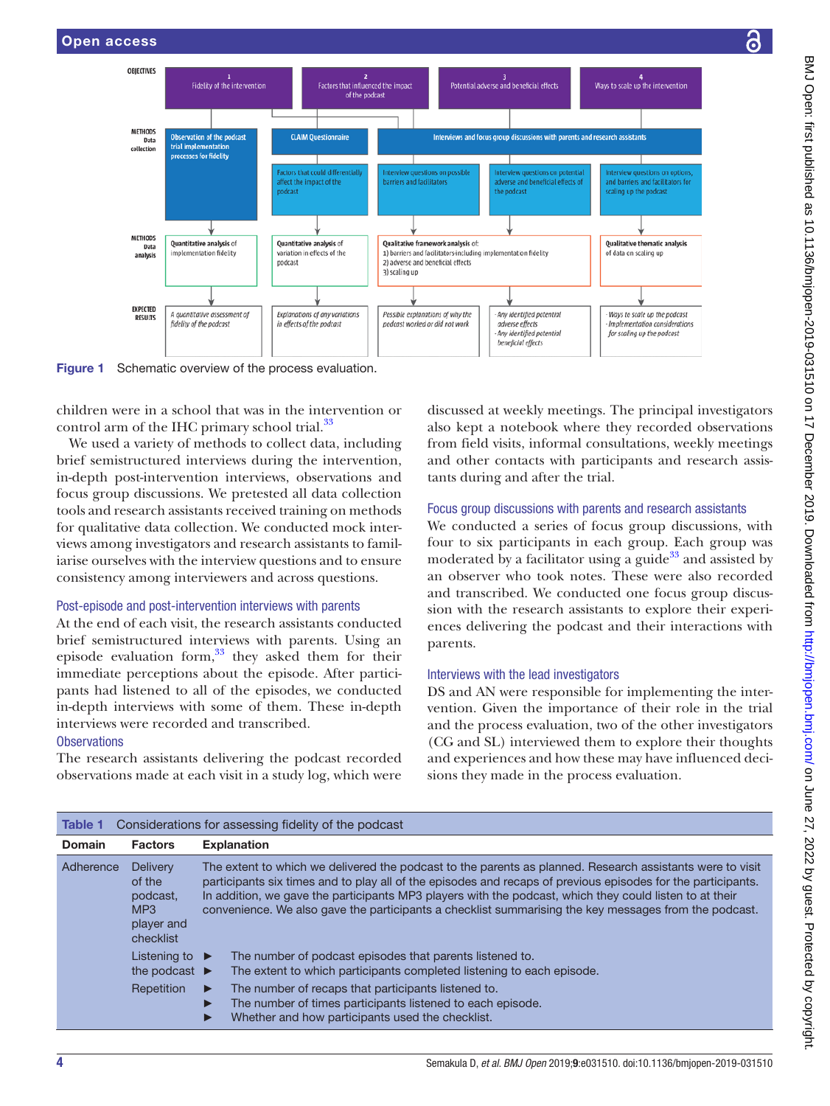

<span id="page-3-0"></span>Figure 1 Schematic overview of the process evaluation.

children were in a school that was in the intervention or control arm of the IHC primary school trial.<sup>33</sup>

We used a variety of methods to collect data, including brief semistructured interviews during the intervention, in-depth post-intervention interviews, observations and focus group discussions. We pretested all data collection tools and research assistants received training on methods for qualitative data collection. We conducted mock interviews among investigators and research assistants to familiarise ourselves with the interview questions and to ensure consistency among interviewers and across questions.

### Post-episode and post-intervention interviews with parents

At the end of each visit, the research assistants conducted brief semistructured interviews with parents. Using an episode evaluation form, $33$  they asked them for their immediate perceptions about the episode. After participants had listened to all of the episodes, we conducted in-depth interviews with some of them. These in-depth interviews were recorded and transcribed.

#### **Observations**

The research assistants delivering the podcast recorded observations made at each visit in a study log, which were discussed at weekly meetings. The principal investigators also kept a notebook where they recorded observations from field visits, informal consultations, weekly meetings and other contacts with participants and research assistants during and after the trial.

#### Focus group discussions with parents and research assistants

We conducted a series of focus group discussions, with four to six participants in each group. Each group was moderated by a facilitator using a guide $33$  and assisted by an observer who took notes. These were also recorded and transcribed. We conducted one focus group discussion with the research assistants to explore their experiences delivering the podcast and their interactions with parents.

#### Interviews with the lead investigators

DS and AN were responsible for implementing the intervention. Given the importance of their role in the trial and the process evaluation, two of the other investigators (CG and SL) interviewed them to explore their thoughts and experiences and how these may have influenced decisions they made in the process evaluation.

<span id="page-3-1"></span>

| Table 1       |                                                                                       | Considerations for assessing fidelity of the podcast                                                                                                                                                                                                                                                                                                                                                                                          |
|---------------|---------------------------------------------------------------------------------------|-----------------------------------------------------------------------------------------------------------------------------------------------------------------------------------------------------------------------------------------------------------------------------------------------------------------------------------------------------------------------------------------------------------------------------------------------|
| <b>Domain</b> | <b>Factors</b>                                                                        | <b>Explanation</b>                                                                                                                                                                                                                                                                                                                                                                                                                            |
| Adherence     | <b>Delivery</b><br>of the<br>podcast.<br>MP3<br>player and<br>checklist               | The extent to which we delivered the podcast to the parents as planned. Research assistants were to visit<br>participants six times and to play all of the episodes and recaps of previous episodes for the participants.<br>In addition, we gave the participants MP3 players with the podcast, which they could listen to at their<br>convenience. We also gave the participants a checklist summarising the key messages from the podcast. |
|               | Listening to $\blacktriangleright$<br>the podcast $\blacktriangleright$<br>Repetition | The number of podcast episodes that parents listened to.<br>The extent to which participants completed listening to each episode.<br>The number of recaps that participants listened to.<br>▶<br>The number of times participants listened to each episode.<br>Whether and how participants used the checklist.                                                                                                                               |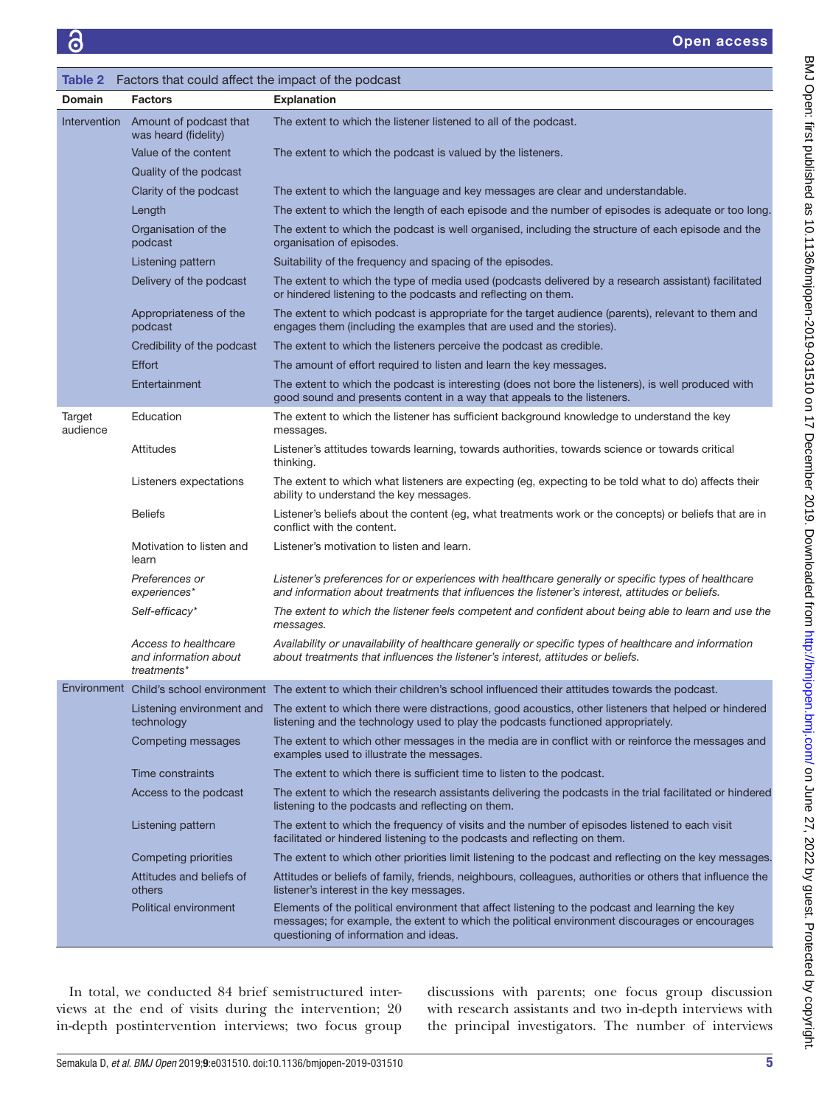<span id="page-4-0"></span>

| Table 2             | Factors that could affect the impact of the podcast          |                                                                                                                                                                                                                                            |
|---------------------|--------------------------------------------------------------|--------------------------------------------------------------------------------------------------------------------------------------------------------------------------------------------------------------------------------------------|
| <b>Domain</b>       | <b>Factors</b>                                               | <b>Explanation</b>                                                                                                                                                                                                                         |
| <b>Intervention</b> | Amount of podcast that<br>was heard (fidelity)               | The extent to which the listener listened to all of the podcast.                                                                                                                                                                           |
|                     | Value of the content                                         | The extent to which the podcast is valued by the listeners.                                                                                                                                                                                |
|                     | Quality of the podcast                                       |                                                                                                                                                                                                                                            |
|                     | Clarity of the podcast                                       | The extent to which the language and key messages are clear and understandable.                                                                                                                                                            |
|                     | Length                                                       | The extent to which the length of each episode and the number of episodes is adequate or too long.                                                                                                                                         |
|                     | Organisation of the<br>podcast                               | The extent to which the podcast is well organised, including the structure of each episode and the<br>organisation of episodes.                                                                                                            |
|                     | Listening pattern                                            | Suitability of the frequency and spacing of the episodes.                                                                                                                                                                                  |
|                     | Delivery of the podcast                                      | The extent to which the type of media used (podcasts delivered by a research assistant) facilitated<br>or hindered listening to the podcasts and reflecting on them.                                                                       |
|                     | Appropriateness of the<br>podcast                            | The extent to which podcast is appropriate for the target audience (parents), relevant to them and<br>engages them (including the examples that are used and the stories).                                                                 |
|                     | Credibility of the podcast                                   | The extent to which the listeners perceive the podcast as credible.                                                                                                                                                                        |
|                     | <b>Effort</b>                                                | The amount of effort required to listen and learn the key messages.                                                                                                                                                                        |
|                     | Entertainment                                                | The extent to which the podcast is interesting (does not bore the listeners), is well produced with<br>good sound and presents content in a way that appeals to the listeners.                                                             |
| Target<br>audience  | Education                                                    | The extent to which the listener has sufficient background knowledge to understand the key<br>messages.                                                                                                                                    |
|                     | Attitudes                                                    | Listener's attitudes towards learning, towards authorities, towards science or towards critical<br>thinking.                                                                                                                               |
|                     | Listeners expectations                                       | The extent to which what listeners are expecting (eg, expecting to be told what to do) affects their<br>ability to understand the key messages.                                                                                            |
|                     | <b>Beliefs</b>                                               | Listener's beliefs about the content (eg, what treatments work or the concepts) or beliefs that are in<br>conflict with the content.                                                                                                       |
|                     | Motivation to listen and<br>learn                            | Listener's motivation to listen and learn.                                                                                                                                                                                                 |
|                     | Preferences or<br>experiences*                               | Listener's preferences for or experiences with healthcare generally or specific types of healthcare<br>and information about treatments that influences the listener's interest, attitudes or beliefs.                                     |
|                     | Self-efficacy*                                               | The extent to which the listener feels competent and confident about being able to learn and use the<br>messages.                                                                                                                          |
|                     | Access to healthcare<br>and information about<br>treatments* | Availability or unavailability of healthcare generally or specific types of healthcare and information<br>about treatments that influences the listener's interest, attitudes or beliefs.                                                  |
|                     |                                                              | Environment Child's school environment The extent to which their children's school influenced their attitudes towards the podcast.                                                                                                         |
|                     | Listening environment and<br>technology                      | The extent to which there were distractions, good acoustics, other listeners that helped or hindered<br>listening and the technology used to play the podcasts functioned appropriately.                                                   |
|                     | Competing messages                                           | The extent to which other messages in the media are in conflict with or reinforce the messages and<br>examples used to illustrate the messages.                                                                                            |
|                     | <b>Time constraints</b>                                      | The extent to which there is sufficient time to listen to the podcast.                                                                                                                                                                     |
|                     | Access to the podcast                                        | The extent to which the research assistants delivering the podcasts in the trial facilitated or hindered<br>listening to the podcasts and reflecting on them.                                                                              |
|                     | Listening pattern                                            | The extent to which the frequency of visits and the number of episodes listened to each visit<br>facilitated or hindered listening to the podcasts and reflecting on them.                                                                 |
|                     | Competing priorities                                         | The extent to which other priorities limit listening to the podcast and reflecting on the key messages.                                                                                                                                    |
|                     | Attitudes and beliefs of<br>others                           | Attitudes or beliefs of family, friends, neighbours, colleagues, authorities or others that influence the<br>listener's interest in the key messages.                                                                                      |
|                     | Political environment                                        | Elements of the political environment that affect listening to the podcast and learning the key<br>messages; for example, the extent to which the political environment discourages or encourages<br>questioning of information and ideas. |

In total, we conducted 84 brief semistructured interviews at the end of visits during the intervention; 20 in-depth postintervention interviews; two focus group

discussions with parents; one focus group discussion with research assistants and two in-depth interviews with the principal investigators. The number of interviews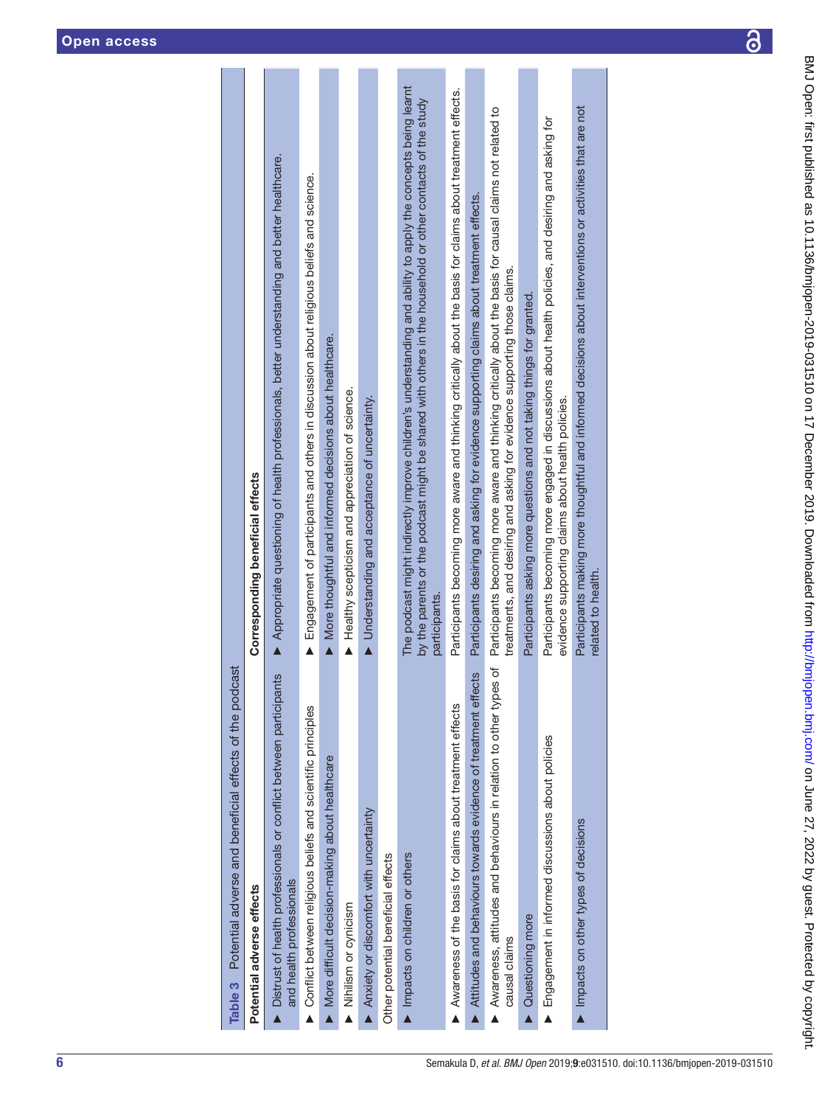$\mathbf{\overline{\omega}}$ 

| $\ddot{\phantom{a}}$                                                                                                                                                                                                                                                                                                           |
|--------------------------------------------------------------------------------------------------------------------------------------------------------------------------------------------------------------------------------------------------------------------------------------------------------------------------------|
|                                                                                                                                                                                                                                                                                                                                |
|                                                                                                                                                                                                                                                                                                                                |
| $\overline{\phantom{a}}$                                                                                                                                                                                                                                                                                                       |
|                                                                                                                                                                                                                                                                                                                                |
| <br>)<br>)<br>)                                                                                                                                                                                                                                                                                                                |
|                                                                                                                                                                                                                                                                                                                                |
|                                                                                                                                                                                                                                                                                                                                |
|                                                                                                                                                                                                                                                                                                                                |
| ֧֖֖֖֚֚֚֚֚֚֚֚֚֚֚֚֝֝֝֝֝<br>֧֖֖֖֚֚֚֚֚֚֚֚֚֚֚֚֚֚֚֚֚֚֚֚֚֝֝֝<br>֧֖֧֪֪֪֚֚֚֚֚֝֝֩֩                                                                                                                                                                                                                                                       |
|                                                                                                                                                                                                                                                                                                                                |
| $\begin{bmatrix} 1 & 0 & 0 \\ 0 & 0 & 0 \\ 0 & 0 & 0 \\ 0 & 0 & 0 \\ 0 & 0 & 0 \\ 0 & 0 & 0 \\ 0 & 0 & 0 & 0 \\ 0 & 0 & 0 & 0 \\ 0 & 0 & 0 & 0 \\ 0 & 0 & 0 & 0 & 0 \\ 0 & 0 & 0 & 0 & 0 \\ 0 & 0 & 0 & 0 & 0 \\ 0 & 0 & 0 & 0 & 0 & 0 \\ 0 & 0 & 0 & 0 & 0 & 0 \\ 0 & 0 & 0 & 0 & 0 & 0 & 0 \\ 0 & 0 & 0 & 0 & 0 & 0 & 0 \\ $ |
|                                                                                                                                                                                                                                                                                                                                |
|                                                                                                                                                                                                                                                                                                                                |
|                                                                                                                                                                                                                                                                                                                                |
|                                                                                                                                                                                                                                                                                                                                |
|                                                                                                                                                                                                                                                                                                                                |
| <b>2010-01-201</b>                                                                                                                                                                                                                                                                                                             |
|                                                                                                                                                                                                                                                                                                                                |
| $\ddot{\phantom{a}}$                                                                                                                                                                                                                                                                                                           |
| J                                                                                                                                                                                                                                                                                                                              |
| J                                                                                                                                                                                                                                                                                                                              |
| $\frac{1}{2}$<br>ׇ֚֓                                                                                                                                                                                                                                                                                                           |
|                                                                                                                                                                                                                                                                                                                                |
|                                                                                                                                                                                                                                                                                                                                |
| l                                                                                                                                                                                                                                                                                                                              |
| ᠈<br>$\ddot{\phantom{0}}$                                                                                                                                                                                                                                                                                                      |
|                                                                                                                                                                                                                                                                                                                                |
| .<br>J                                                                                                                                                                                                                                                                                                                         |
|                                                                                                                                                                                                                                                                                                                                |
|                                                                                                                                                                                                                                                                                                                                |
|                                                                                                                                                                                                                                                                                                                                |
|                                                                                                                                                                                                                                                                                                                                |
|                                                                                                                                                                                                                                                                                                                                |
|                                                                                                                                                                                                                                                                                                                                |
| 2. 4. 4. 5. 6. 1. 7.                                                                                                                                                                                                                                                                                                           |
| tp://pmic                                                                                                                                                                                                                                                                                                                      |
|                                                                                                                                                                                                                                                                                                                                |
|                                                                                                                                                                                                                                                                                                                                |
| ֧֧֧ׅ֧֪֧֚֚֚֚֚֚֚֚֚֚֚֚֚֚֚֚֚֚֚֚֚֚֚֚֝֝֓֝֬֓֡֞֡֝֬֝֓֞֡֡֬֝֬                                                                                                                                                                                                                                                                             |
|                                                                                                                                                                                                                                                                                                                                |
|                                                                                                                                                                                                                                                                                                                                |
|                                                                                                                                                                                                                                                                                                                                |
|                                                                                                                                                                                                                                                                                                                                |
|                                                                                                                                                                                                                                                                                                                                |
|                                                                                                                                                                                                                                                                                                                                |
| .<br>.<br>.<br>.                                                                                                                                                                                                                                                                                                               |
|                                                                                                                                                                                                                                                                                                                                |
| )                                                                                                                                                                                                                                                                                                                              |
| í                                                                                                                                                                                                                                                                                                                              |
|                                                                                                                                                                                                                                                                                                                                |
| )<br>)<br>I                                                                                                                                                                                                                                                                                                                    |
| ו<br>≀                                                                                                                                                                                                                                                                                                                         |
|                                                                                                                                                                                                                                                                                                                                |
| í                                                                                                                                                                                                                                                                                                                              |
|                                                                                                                                                                                                                                                                                                                                |
| J                                                                                                                                                                                                                                                                                                                              |
|                                                                                                                                                                                                                                                                                                                                |
| i                                                                                                                                                                                                                                                                                                                              |
|                                                                                                                                                                                                                                                                                                                                |
|                                                                                                                                                                                                                                                                                                                                |
|                                                                                                                                                                                                                                                                                                                                |
|                                                                                                                                                                                                                                                                                                                                |
| Ś<br>١<br>ŗ                                                                                                                                                                                                                                                                                                                    |

<span id="page-5-0"></span>

| Table 3 Potential adverse and beneficial effects of the podcast                               |                                                                                                                                                                                                                                            |
|-----------------------------------------------------------------------------------------------|--------------------------------------------------------------------------------------------------------------------------------------------------------------------------------------------------------------------------------------------|
| Potential adverse effects                                                                     | Corresponding beneficial effects                                                                                                                                                                                                           |
| Distrust of health professionals or conflict between participants<br>and health professionals | Appropriate questioning of health professionals, better understanding and better healthcare.                                                                                                                                               |
| Conflict between religious beliefs and scientific principles                                  | Engagement of participants and others in discussion about religious beliefs and science.<br>$\blacktriangle$                                                                                                                               |
| More difficult decision-making about healthcare                                               | More thoughtful and informed decisions about healthcare.                                                                                                                                                                                   |
| Nihilism or cynicism                                                                          | Healthy scepticism and appreciation of science.                                                                                                                                                                                            |
| Anxiety or discomfort with uncertainty                                                        | Inderstanding and acceptance of uncertainty.                                                                                                                                                                                               |
| Other potential beneficial effects                                                            |                                                                                                                                                                                                                                            |
| Impacts on children or others                                                                 | The podcast might indirectly improve children's understanding and ability to apply the concepts being learnt<br>by the parents or the podcast might be shared with others in the household or other contacts of the study<br>participants. |
| Awareness of the basis for claims about treatment effects                                     | Participants becoming more aware and thinking critically about the basis for claims about treatment effects.                                                                                                                               |
| Attitudes and behaviours towards evidence of treatment effects                                | Participants desiring and asking for evidence supporting claims about treatment effects.                                                                                                                                                   |
| đ<br>Awareness, attitudes and behaviours in relation to other types<br>causal claims          | Participants becoming more aware and thinking critically about the basis for causal claims not related to<br>treatments, and desiring and asking for evidence supporting those claims.                                                     |
| Questioning more                                                                              | Participants asking more questions and not taking things for granted.                                                                                                                                                                      |
| Engagement in informed discussions about policies                                             | Participants becoming more engaged in discussions about health policies, and desiring and asking for<br>evidence supporting claims about health policies.                                                                                  |
| Impacts on other types of decisions                                                           | Participants making more thoughtful and informed decisions about interventions or activities that are not<br>related to health.                                                                                                            |
|                                                                                               |                                                                                                                                                                                                                                            |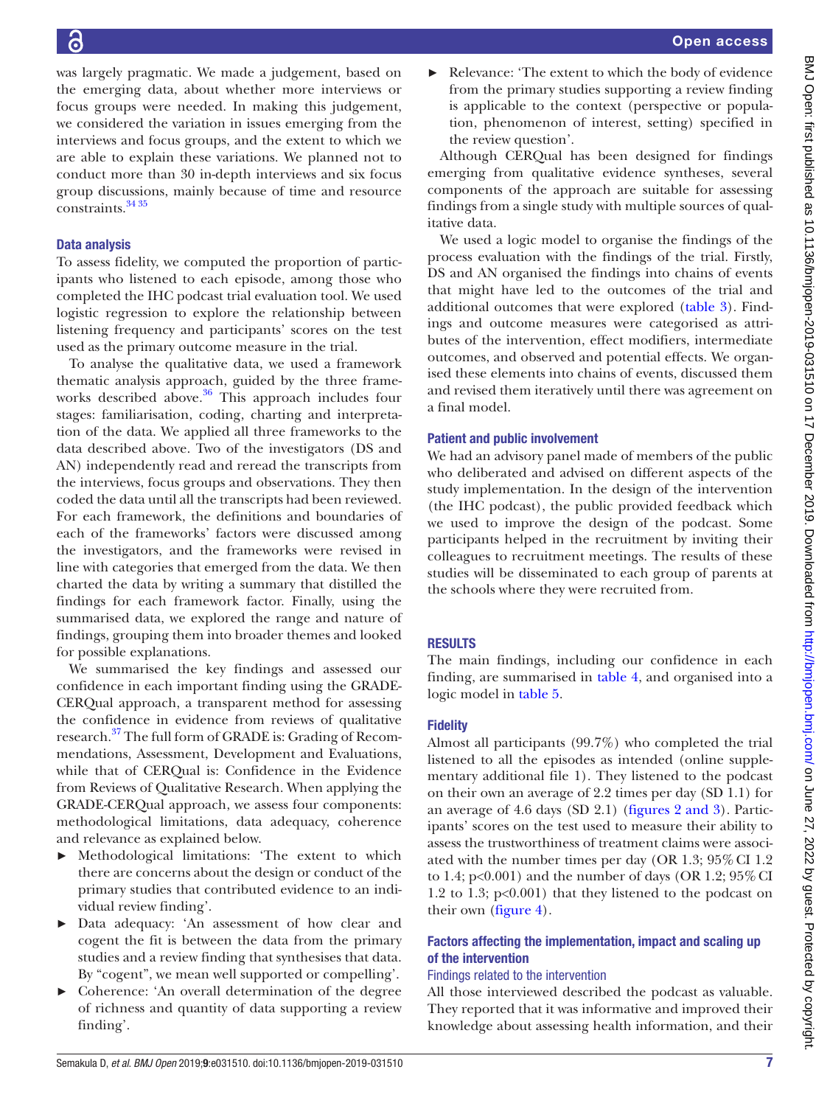was largely pragmatic. We made a judgement, based on the emerging data, about whether more interviews or focus groups were needed. In making this judgement, we considered the variation in issues emerging from the interviews and focus groups, and the extent to which we are able to explain these variations. We planned not to conduct more than 30 in-depth interviews and six focus group discussions, mainly because of time and resource constraints.<sup>34</sup> 35

# Data analysis

To assess fidelity, we computed the proportion of participants who listened to each episode, among those who completed the IHC podcast trial evaluation tool. We used logistic regression to explore the relationship between listening frequency and participants' scores on the test used as the primary outcome measure in the trial.

To analyse the qualitative data, we used a framework thematic analysis approach, guided by the three frame-works described above.<sup>[36](#page-16-21)</sup> This approach includes four stages: familiarisation, coding, charting and interpretation of the data. We applied all three frameworks to the data described above. Two of the investigators (DS and AN) independently read and reread the transcripts from the interviews, focus groups and observations. They then coded the data until all the transcripts had been reviewed. For each framework, the definitions and boundaries of each of the frameworks' factors were discussed among the investigators, and the frameworks were revised in line with categories that emerged from the data. We then charted the data by writing a summary that distilled the findings for each framework factor. Finally, using the summarised data, we explored the range and nature of findings, grouping them into broader themes and looked for possible explanations.

We summarised the key findings and assessed our confidence in each important finding using the GRADE-CERQual approach, a transparent method for assessing the confidence in evidence from reviews of qualitative research.<sup>37</sup> The full form of GRADE is: Grading of Recommendations, Assessment, Development and Evaluations, while that of CERQual is: Confidence in the Evidence from Reviews of Qualitative Research. When applying the GRADE-CERQual approach, we assess four components: methodological limitations, data adequacy, coherence and relevance as explained below.

- ► Methodological limitations: 'The extent to which there are concerns about the design or conduct of the primary studies that contributed evidence to an individual review finding'.
- ► Data adequacy: 'An assessment of how clear and cogent the fit is between the data from the primary studies and a review finding that synthesises that data. By "cogent", we mean well supported or compelling'.
- ► Coherence: 'An overall determination of the degree of richness and quantity of data supporting a review finding'.

Relevance: 'The extent to which the body of evidence from the primary studies supporting a review finding is applicable to the context (perspective or population, phenomenon of interest, setting) specified in the review question'.

Although CERQual has been designed for findings emerging from qualitative evidence syntheses, several components of the approach are suitable for assessing findings from a single study with multiple sources of qualitative data.

We used a logic model to organise the findings of the process evaluation with the findings of the trial. Firstly, DS and AN organised the findings into chains of events that might have led to the outcomes of the trial and additional outcomes that were explored ([table](#page-5-0) 3). Findings and outcome measures were categorised as attributes of the intervention, effect modifiers, intermediate outcomes, and observed and potential effects. We organised these elements into chains of events, discussed them and revised them iteratively until there was agreement on a final model.

# Patient and public involvement

We had an advisory panel made of members of the public who deliberated and advised on different aspects of the study implementation. In the design of the intervention (the IHC podcast), the public provided feedback which we used to improve the design of the podcast. Some participants helped in the recruitment by inviting their colleagues to recruitment meetings. The results of these studies will be disseminated to each group of parents at the schools where they were recruited from.

# **RESULTS**

The main findings, including our confidence in each finding, are summarised in [table](#page-7-0) 4, and organised into a logic model in [table](#page-10-0) 5.

# **Fidelity**

Almost all participants (99.7%) who completed the trial listened to all the episodes as intended [\(online supple](https://dx.doi.org/10.1136/bmjopen-2019-031510)[mentary additional file 1](https://dx.doi.org/10.1136/bmjopen-2019-031510)). They listened to the podcast on their own an average of 2.2 times per day (SD 1.1) for an average of 4.6 days (SD 2.1) (figures [2 and 3](#page-11-0)). Participants' scores on the test used to measure their ability to assess the trustworthiness of treatment claims were associated with the number times per day (OR 1.3; 95%CI 1.2 to 1.4;  $p<0.001$ ) and the number of days (OR 1.2;  $95\%$  CI 1.2 to 1.3; p<0.001) that they listened to the podcast on their own [\(figure](#page-12-0) 4).

# Factors affecting the implementation, impact and scaling up of the intervention

# Findings related to the intervention

All those interviewed described the podcast as valuable. They reported that it was informative and improved their knowledge about assessing health information, and their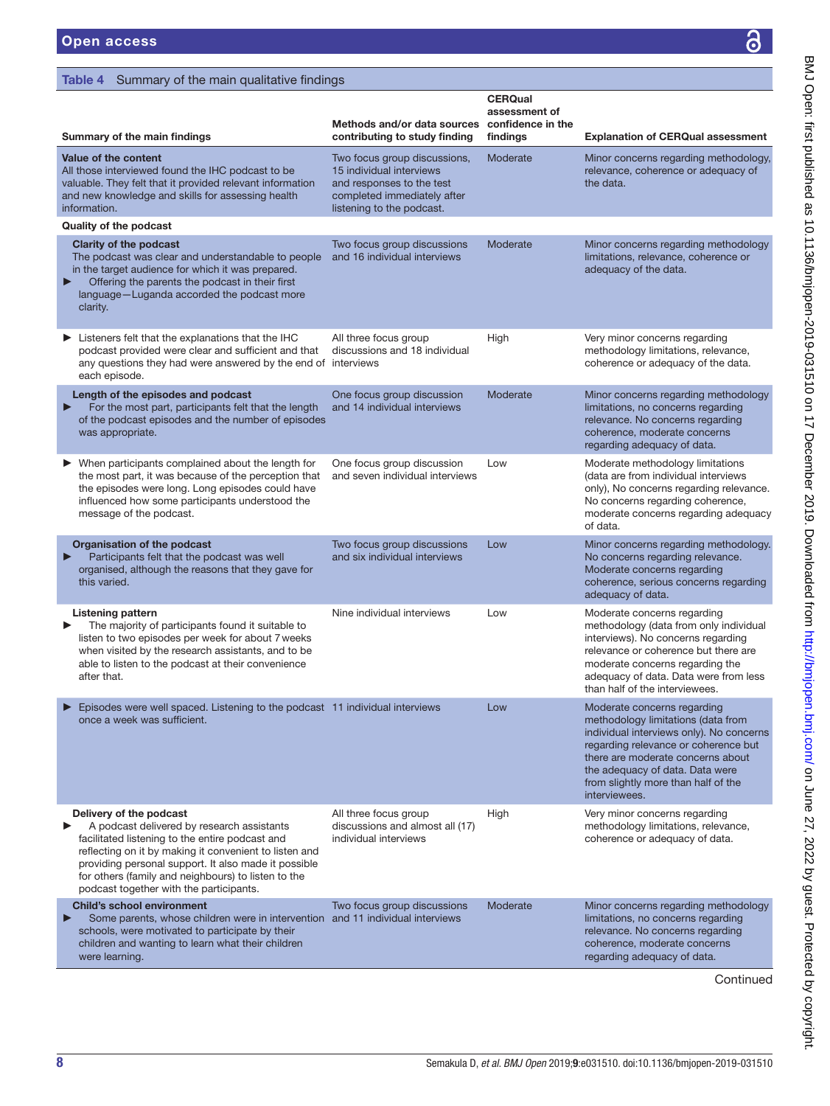<span id="page-7-0"></span>

| Table 4 Summary of the main qualitative findings                                                                                                                                                                                                                                                                                                  |                                                                                                                                                   |                                                      |                                                                                                                                                                                                                                                                                       |
|---------------------------------------------------------------------------------------------------------------------------------------------------------------------------------------------------------------------------------------------------------------------------------------------------------------------------------------------------|---------------------------------------------------------------------------------------------------------------------------------------------------|------------------------------------------------------|---------------------------------------------------------------------------------------------------------------------------------------------------------------------------------------------------------------------------------------------------------------------------------------|
|                                                                                                                                                                                                                                                                                                                                                   | Methods and/or data sources                                                                                                                       | <b>CERQual</b><br>assessment of<br>confidence in the |                                                                                                                                                                                                                                                                                       |
| Summary of the main findings                                                                                                                                                                                                                                                                                                                      | contributing to study finding                                                                                                                     | findings                                             | <b>Explanation of CERQual assessment</b>                                                                                                                                                                                                                                              |
| Value of the content<br>All those interviewed found the IHC podcast to be<br>valuable. They felt that it provided relevant information<br>and new knowledge and skills for assessing health<br>information.                                                                                                                                       | Two focus group discussions,<br>15 individual interviews<br>and responses to the test<br>completed immediately after<br>listening to the podcast. | Moderate                                             | Minor concerns regarding methodology,<br>relevance, coherence or adequacy of<br>the data.                                                                                                                                                                                             |
| Quality of the podcast                                                                                                                                                                                                                                                                                                                            |                                                                                                                                                   |                                                      |                                                                                                                                                                                                                                                                                       |
| <b>Clarity of the podcast</b><br>The podcast was clear and understandable to people<br>in the target audience for which it was prepared.<br>Offering the parents the podcast in their first<br>language-Luganda accorded the podcast more<br>clarity.                                                                                             | Two focus group discussions<br>and 16 individual interviews                                                                                       | Moderate                                             | Minor concerns regarding methodology<br>limitations, relevance, coherence or<br>adequacy of the data.                                                                                                                                                                                 |
| $\blacktriangleright$ Listeners felt that the explanations that the IHC<br>podcast provided were clear and sufficient and that<br>any questions they had were answered by the end of interviews<br>each episode.                                                                                                                                  | All three focus group<br>discussions and 18 individual                                                                                            | High                                                 | Very minor concerns regarding<br>methodology limitations, relevance,<br>coherence or adequacy of the data.                                                                                                                                                                            |
| Length of the episodes and podcast<br>For the most part, participants felt that the length<br>▶<br>of the podcast episodes and the number of episodes<br>was appropriate.                                                                                                                                                                         | One focus group discussion<br>and 14 individual interviews                                                                                        | Moderate                                             | Minor concerns regarding methodology<br>limitations, no concerns regarding<br>relevance. No concerns regarding<br>coherence, moderate concerns<br>regarding adequacy of data.                                                                                                         |
| When participants complained about the length for<br>▶<br>the most part, it was because of the perception that<br>the episodes were long. Long episodes could have<br>influenced how some participants understood the<br>message of the podcast.                                                                                                  | One focus group discussion<br>and seven individual interviews                                                                                     | Low                                                  | Moderate methodology limitations<br>(data are from individual interviews<br>only), No concerns regarding relevance.<br>No concerns regarding coherence,<br>moderate concerns regarding adequacy<br>of data.                                                                           |
| Organisation of the podcast<br>Participants felt that the podcast was well<br>▶<br>organised, although the reasons that they gave for<br>this varied.                                                                                                                                                                                             | Two focus group discussions<br>and six individual interviews                                                                                      | Low                                                  | Minor concerns regarding methodology.<br>No concerns regarding relevance.<br>Moderate concerns regarding<br>coherence, serious concerns regarding<br>adequacy of data.                                                                                                                |
| Listening pattern<br>The majority of participants found it suitable to<br>listen to two episodes per week for about 7 weeks<br>when visited by the research assistants, and to be<br>able to listen to the podcast at their convenience<br>after that.                                                                                            | Nine individual interviews                                                                                                                        | Low                                                  | Moderate concerns regarding<br>methodology (data from only individual<br>interviews). No concerns regarding<br>relevance or coherence but there are<br>moderate concerns regarding the<br>adequacy of data. Data were from less<br>than half of the interviewees.                     |
| Episodes were well spaced. Listening to the podcast 11 individual interviews<br>once a week was sufficient.                                                                                                                                                                                                                                       |                                                                                                                                                   | Low                                                  | Moderate concerns regarding<br>methodology limitations (data from<br>individual interviews only). No concerns<br>regarding relevance or coherence but<br>there are moderate concerns about<br>the adequacy of data. Data were<br>from slightly more than half of the<br>interviewees. |
| Delivery of the podcast<br>A podcast delivered by research assistants<br>▶<br>facilitated listening to the entire podcast and<br>reflecting on it by making it convenient to listen and<br>providing personal support. It also made it possible<br>for others (family and neighbours) to listen to the<br>podcast together with the participants. | All three focus group<br>discussions and almost all (17)<br>individual interviews                                                                 | High                                                 | Very minor concerns regarding<br>methodology limitations, relevance,<br>coherence or adequacy of data.                                                                                                                                                                                |
| <b>Child's school environment</b><br>Some parents, whose children were in intervention and 11 individual interviews<br>▶<br>schools, were motivated to participate by their<br>children and wanting to learn what their children<br>were learning.                                                                                                | Two focus group discussions                                                                                                                       | Moderate                                             | Minor concerns regarding methodology<br>limitations, no concerns regarding<br>relevance. No concerns regarding<br>coherence, moderate concerns<br>regarding adequacy of data.                                                                                                         |

Continued

BMJ Open: first published as 10.1136/bmjopen-2019-031510 on 17 December 2019. Downloaded from http://bmjopen.bmj.com/ on June 27, 2022 by guest. Protected by copyright. BMJ Open: first published as 10.1136/bmjopen-2019-031510 on 17 December 2019. Downloaded from <http://bmjopen.bmj.com/> on June 27, 2022 by guest. Protected by copyright.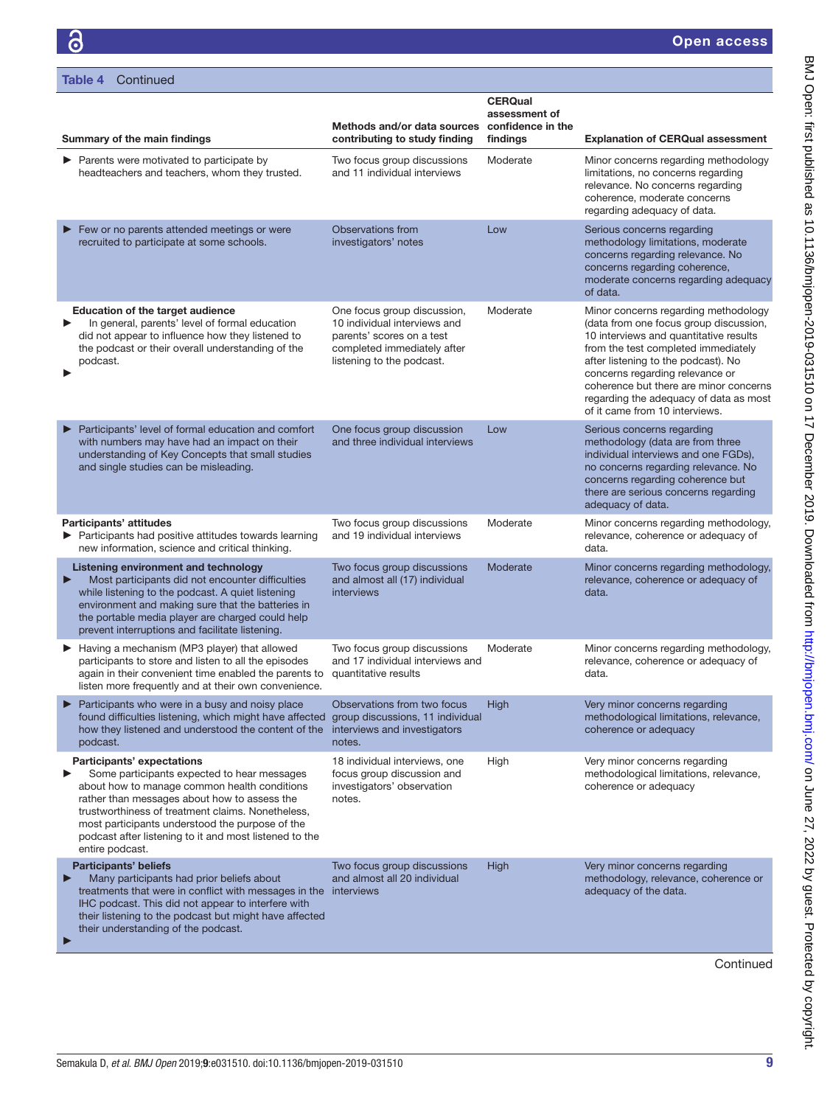| <b>Table 4</b> Continued                                                                                                                                                                                                                                                                                                                                              |                                                                                                                                                      |                                                                  |                                                                                                                                                                                                                                                                                                                                                                 |
|-----------------------------------------------------------------------------------------------------------------------------------------------------------------------------------------------------------------------------------------------------------------------------------------------------------------------------------------------------------------------|------------------------------------------------------------------------------------------------------------------------------------------------------|------------------------------------------------------------------|-----------------------------------------------------------------------------------------------------------------------------------------------------------------------------------------------------------------------------------------------------------------------------------------------------------------------------------------------------------------|
|                                                                                                                                                                                                                                                                                                                                                                       | Methods and/or data sources                                                                                                                          | <b>CERQual</b><br>assessment of<br>confidence in the<br>findings |                                                                                                                                                                                                                                                                                                                                                                 |
| Summary of the main findings<br>$\blacktriangleright$ Parents were motivated to participate by<br>headteachers and teachers, whom they trusted.                                                                                                                                                                                                                       | contributing to study finding<br>Two focus group discussions<br>and 11 individual interviews                                                         | Moderate                                                         | <b>Explanation of CERQual assessment</b><br>Minor concerns regarding methodology<br>limitations, no concerns regarding<br>relevance. No concerns regarding<br>coherence, moderate concerns<br>regarding adequacy of data.                                                                                                                                       |
| $\blacktriangleright$ Few or no parents attended meetings or were<br>recruited to participate at some schools.                                                                                                                                                                                                                                                        | Observations from<br>investigators' notes                                                                                                            | Low                                                              | Serious concerns regarding<br>methodology limitations, moderate<br>concerns regarding relevance. No<br>concerns regarding coherence,<br>moderate concerns regarding adequacy<br>of data.                                                                                                                                                                        |
| <b>Education of the target audience</b><br>In general, parents' level of formal education<br>▶<br>did not appear to influence how they listened to<br>the podcast or their overall understanding of the<br>podcast.                                                                                                                                                   | One focus group discussion,<br>10 individual interviews and<br>parents' scores on a test<br>completed immediately after<br>listening to the podcast. | Moderate                                                         | Minor concerns regarding methodology<br>(data from one focus group discussion,<br>10 interviews and quantitative results<br>from the test completed immediately<br>after listening to the podcast). No<br>concerns regarding relevance or<br>coherence but there are minor concerns<br>regarding the adequacy of data as most<br>of it came from 10 interviews. |
| ▶ Participants' level of formal education and comfort<br>with numbers may have had an impact on their<br>understanding of Key Concepts that small studies<br>and single studies can be misleading.                                                                                                                                                                    | One focus group discussion<br>and three individual interviews                                                                                        | Low                                                              | Serious concerns regarding<br>methodology (data are from three<br>individual interviews and one FGDs),<br>no concerns regarding relevance. No<br>concerns regarding coherence but<br>there are serious concerns regarding<br>adequacy of data.                                                                                                                  |
| Participants' attitudes<br>▶ Participants had positive attitudes towards learning<br>new information, science and critical thinking.                                                                                                                                                                                                                                  | Two focus group discussions<br>and 19 individual interviews                                                                                          | Moderate                                                         | Minor concerns regarding methodology,<br>relevance, coherence or adequacy of<br>data.                                                                                                                                                                                                                                                                           |
| Listening environment and technology<br>Most participants did not encounter difficulties<br>▶<br>while listening to the podcast. A quiet listening<br>environment and making sure that the batteries in<br>the portable media player are charged could help<br>prevent interruptions and facilitate listening.                                                        | Two focus group discussions<br>and almost all (17) individual<br>interviews                                                                          | Moderate                                                         | Minor concerns regarding methodology,<br>relevance, coherence or adequacy of<br>data.                                                                                                                                                                                                                                                                           |
| Having a mechanism (MP3 player) that allowed<br>participants to store and listen to all the episodes<br>again in their convenient time enabled the parents to<br>listen more frequently and at their own convenience.                                                                                                                                                 | Two focus group discussions<br>and 17 individual interviews and<br>quantitative results                                                              | Moderate                                                         | Minor concerns regarding methodology,<br>relevance, coherence or adequacy of<br>data.                                                                                                                                                                                                                                                                           |
| Participants who were in a busy and noisy place<br>▶<br>found difficulties listening, which might have affected<br>how they listened and understood the content of the<br>podcast.                                                                                                                                                                                    | Observations from two focus<br>group discussions, 11 individual<br>interviews and investigators<br>notes.                                            | High                                                             | Very minor concerns regarding<br>methodological limitations, relevance,<br>coherence or adequacy                                                                                                                                                                                                                                                                |
| <b>Participants' expectations</b><br>Some participants expected to hear messages<br>about how to manage common health conditions<br>rather than messages about how to assess the<br>trustworthiness of treatment claims. Nonetheless,<br>most participants understood the purpose of the<br>podcast after listening to it and most listened to the<br>entire podcast. | 18 individual interviews, one<br>focus group discussion and<br>investigators' observation<br>notes.                                                  | High                                                             | Very minor concerns regarding<br>methodological limitations, relevance,<br>coherence or adequacy                                                                                                                                                                                                                                                                |
| <b>Participants' beliefs</b><br>Many participants had prior beliefs about<br>▶<br>treatments that were in conflict with messages in the interviews<br>IHC podcast. This did not appear to interfere with<br>their listening to the podcast but might have affected<br>their understanding of the podcast.<br>Þ                                                        | Two focus group discussions<br>and almost all 20 individual                                                                                          | High                                                             | Very minor concerns regarding<br>methodology, relevance, coherence or<br>adequacy of the data.                                                                                                                                                                                                                                                                  |
|                                                                                                                                                                                                                                                                                                                                                                       |                                                                                                                                                      |                                                                  | Continued                                                                                                                                                                                                                                                                                                                                                       |

င်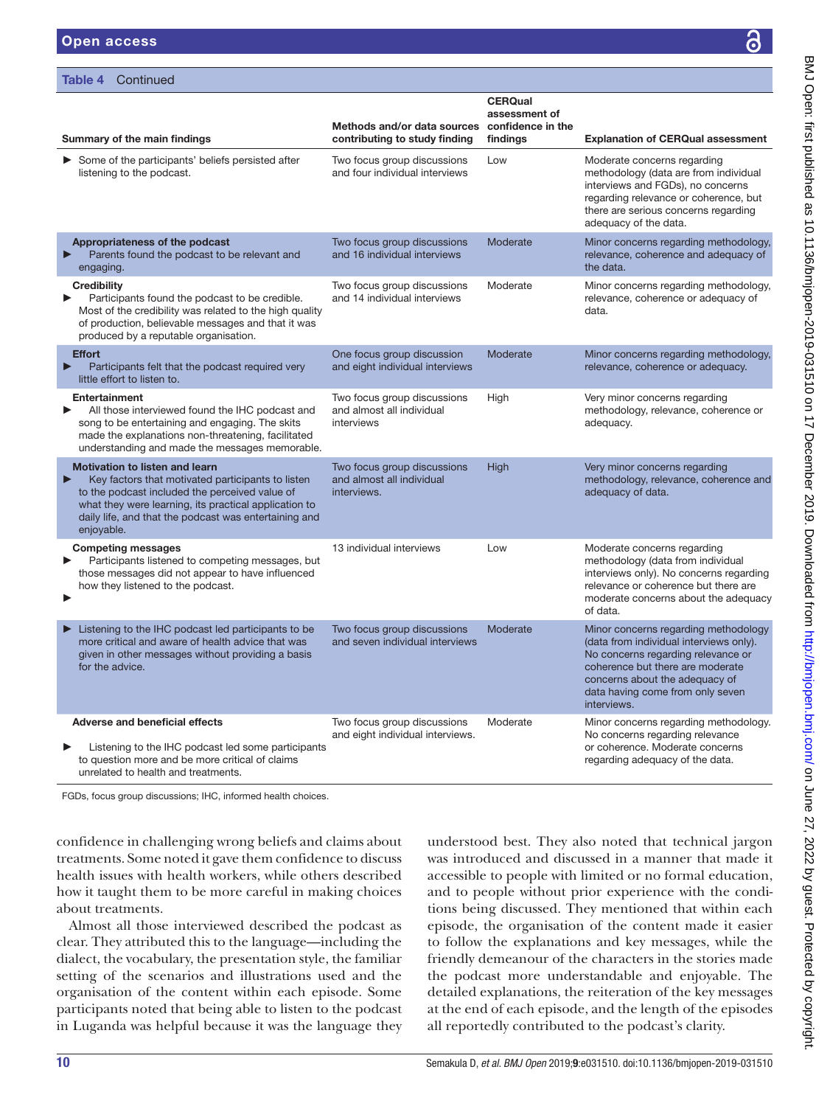Table 4 Continued

|                                                                                                                                                                                                                                                                              | Methods and/or data sources                                             | <b>CERQual</b><br>assessment of<br>confidence in the |                                                                                                                                                                                                                                                |
|------------------------------------------------------------------------------------------------------------------------------------------------------------------------------------------------------------------------------------------------------------------------------|-------------------------------------------------------------------------|------------------------------------------------------|------------------------------------------------------------------------------------------------------------------------------------------------------------------------------------------------------------------------------------------------|
| Summary of the main findings                                                                                                                                                                                                                                                 | contributing to study finding                                           | findings                                             | <b>Explanation of CERQual assessment</b>                                                                                                                                                                                                       |
| Some of the participants' beliefs persisted after<br>listening to the podcast.                                                                                                                                                                                               | Two focus group discussions<br>and four individual interviews           | Low                                                  | Moderate concerns regarding<br>methodology (data are from individual<br>interviews and FGDs), no concerns<br>regarding relevance or coherence, but<br>there are serious concerns regarding<br>adequacy of the data.                            |
| Appropriateness of the podcast<br>Parents found the podcast to be relevant and<br>engaging.                                                                                                                                                                                  | Two focus group discussions<br>and 16 individual interviews             | Moderate                                             | Minor concerns regarding methodology,<br>relevance, coherence and adequacy of<br>the data.                                                                                                                                                     |
| <b>Credibility</b><br>Participants found the podcast to be credible.<br>Most of the credibility was related to the high quality<br>of production, believable messages and that it was<br>produced by a reputable organisation.                                               | Two focus group discussions<br>and 14 individual interviews             | Moderate                                             | Minor concerns regarding methodology,<br>relevance, coherence or adequacy of<br>data.                                                                                                                                                          |
| <b>Effort</b><br>Participants felt that the podcast required very<br>little effort to listen to.                                                                                                                                                                             | One focus group discussion<br>and eight individual interviews           | Moderate                                             | Minor concerns regarding methodology,<br>relevance, coherence or adequacy.                                                                                                                                                                     |
| <b>Entertainment</b><br>All those interviewed found the IHC podcast and<br>song to be entertaining and engaging. The skits<br>made the explanations non-threatening, facilitated<br>understanding and made the messages memorable.                                           | Two focus group discussions<br>and almost all individual<br>interviews  | High                                                 | Very minor concerns regarding<br>methodology, relevance, coherence or<br>adequacy.                                                                                                                                                             |
| <b>Motivation to listen and learn</b><br>Key factors that motivated participants to listen<br>to the podcast included the perceived value of<br>what they were learning, its practical application to<br>daily life, and that the podcast was entertaining and<br>enjoyable. | Two focus group discussions<br>and almost all individual<br>interviews. | High                                                 | Very minor concerns regarding<br>methodology, relevance, coherence and<br>adequacy of data.                                                                                                                                                    |
| <b>Competing messages</b><br>Participants listened to competing messages, but<br>those messages did not appear to have influenced<br>how they listened to the podcast.                                                                                                       | 13 individual interviews                                                | Low                                                  | Moderate concerns regarding<br>methodology (data from individual<br>interviews only). No concerns regarding<br>relevance or coherence but there are<br>moderate concerns about the adequacy<br>of data.                                        |
| Listening to the IHC podcast led participants to be<br>more critical and aware of health advice that was<br>given in other messages without providing a basis<br>for the advice.                                                                                             | Two focus group discussions<br>and seven individual interviews          | Moderate                                             | Minor concerns regarding methodology<br>(data from individual interviews only).<br>No concerns regarding relevance or<br>coherence but there are moderate<br>concerns about the adequacy of<br>data having come from only seven<br>interviews. |
| <b>Adverse and beneficial effects</b><br>Listening to the IHC podcast led some participants<br>to question more and be more critical of claims<br>unrelated to health and treatments.                                                                                        | Two focus group discussions<br>and eight individual interviews.         | Moderate                                             | Minor concerns regarding methodology.<br>No concerns regarding relevance<br>or coherence. Moderate concerns<br>regarding adequacy of the data.                                                                                                 |

FGDs, focus group discussions; IHC, informed health choices.

confidence in challenging wrong beliefs and claims about treatments. Some noted it gave them confidence to discuss health issues with health workers, while others described how it taught them to be more careful in making choices about treatments.

Almost all those interviewed described the podcast as clear. They attributed this to the language—including the dialect, the vocabulary, the presentation style, the familiar setting of the scenarios and illustrations used and the organisation of the content within each episode. Some participants noted that being able to listen to the podcast in Luganda was helpful because it was the language they understood best. They also noted that technical jargon was introduced and discussed in a manner that made it accessible to people with limited or no formal education, and to people without prior experience with the conditions being discussed. They mentioned that within each episode, the organisation of the content made it easier to follow the explanations and key messages, while the friendly demeanour of the characters in the stories made the podcast more understandable and enjoyable. The detailed explanations, the reiteration of the key messages at the end of each episode, and the length of the episodes all reportedly contributed to the podcast's clarity.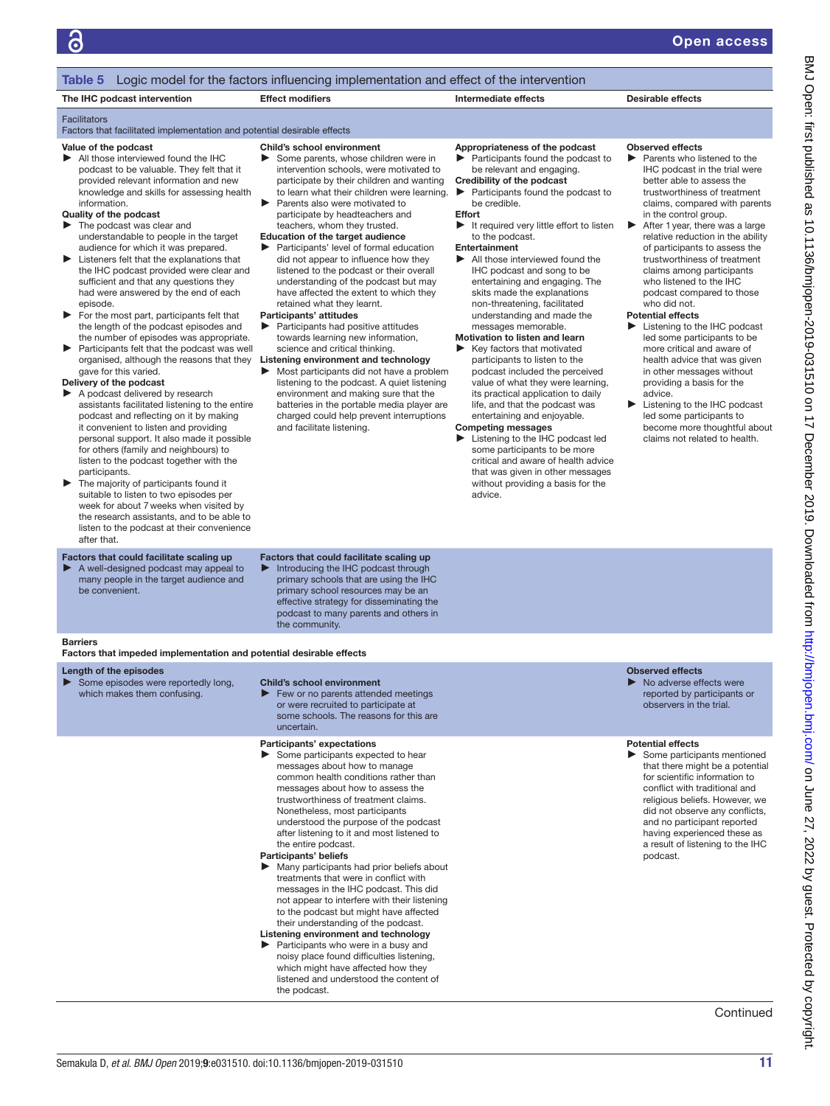# Open access

<span id="page-10-0"></span>

| The IHC podcast intervention                                                                                                                                                                                                                                                                                                                                                                                                                                                                                                                                                                                                                                                                                                                                                                                                                                                                                                                                                                                                                                                                                                                                                                                                                                                                                                                                                                                                                                 | <b>Effect modifiers</b>                                                                                                                                                                                                                                                                                                                                                                                                                                                                                                                                                                                                                                                                                                                                                                                                                                                                                                                                                                                                                                              | Intermediate effects                                                                                                                                                                                                                                                                                                                                                                                                                                                                                                                                                                                                                                                                                                                                                                                                                                                                                                                                                                                                                                             | <b>Desirable effects</b>                                                                                                                                                                                                                                                                                                                                                                                                                                                                                                                                                                                                                                                                                                                                                                                                                                                 |
|--------------------------------------------------------------------------------------------------------------------------------------------------------------------------------------------------------------------------------------------------------------------------------------------------------------------------------------------------------------------------------------------------------------------------------------------------------------------------------------------------------------------------------------------------------------------------------------------------------------------------------------------------------------------------------------------------------------------------------------------------------------------------------------------------------------------------------------------------------------------------------------------------------------------------------------------------------------------------------------------------------------------------------------------------------------------------------------------------------------------------------------------------------------------------------------------------------------------------------------------------------------------------------------------------------------------------------------------------------------------------------------------------------------------------------------------------------------|----------------------------------------------------------------------------------------------------------------------------------------------------------------------------------------------------------------------------------------------------------------------------------------------------------------------------------------------------------------------------------------------------------------------------------------------------------------------------------------------------------------------------------------------------------------------------------------------------------------------------------------------------------------------------------------------------------------------------------------------------------------------------------------------------------------------------------------------------------------------------------------------------------------------------------------------------------------------------------------------------------------------------------------------------------------------|------------------------------------------------------------------------------------------------------------------------------------------------------------------------------------------------------------------------------------------------------------------------------------------------------------------------------------------------------------------------------------------------------------------------------------------------------------------------------------------------------------------------------------------------------------------------------------------------------------------------------------------------------------------------------------------------------------------------------------------------------------------------------------------------------------------------------------------------------------------------------------------------------------------------------------------------------------------------------------------------------------------------------------------------------------------|--------------------------------------------------------------------------------------------------------------------------------------------------------------------------------------------------------------------------------------------------------------------------------------------------------------------------------------------------------------------------------------------------------------------------------------------------------------------------------------------------------------------------------------------------------------------------------------------------------------------------------------------------------------------------------------------------------------------------------------------------------------------------------------------------------------------------------------------------------------------------|
| <b>Facilitators</b><br>Factors that facilitated implementation and potential desirable effects                                                                                                                                                                                                                                                                                                                                                                                                                                                                                                                                                                                                                                                                                                                                                                                                                                                                                                                                                                                                                                                                                                                                                                                                                                                                                                                                                               |                                                                                                                                                                                                                                                                                                                                                                                                                                                                                                                                                                                                                                                                                                                                                                                                                                                                                                                                                                                                                                                                      |                                                                                                                                                                                                                                                                                                                                                                                                                                                                                                                                                                                                                                                                                                                                                                                                                                                                                                                                                                                                                                                                  |                                                                                                                                                                                                                                                                                                                                                                                                                                                                                                                                                                                                                                                                                                                                                                                                                                                                          |
| Value of the podcast<br>All those interviewed found the IHC<br>podcast to be valuable. They felt that it<br>provided relevant information and new<br>knowledge and skills for assessing health<br>information.<br>Quality of the podcast<br>$\blacktriangleright$ The podcast was clear and<br>understandable to people in the target<br>audience for which it was prepared.<br>$\blacktriangleright$ Listeners felt that the explanations that<br>the IHC podcast provided were clear and<br>sufficient and that any questions they<br>had were answered by the end of each<br>episode.<br>For the most part, participants felt that<br>▶<br>the length of the podcast episodes and<br>the number of episodes was appropriate.<br>Participants felt that the podcast was well<br>▶<br>organised, although the reasons that they<br>gave for this varied.<br>Delivery of the podcast<br>A podcast delivered by research<br>assistants facilitated listening to the entire<br>podcast and reflecting on it by making<br>it convenient to listen and providing<br>personal support. It also made it possible<br>for others (family and neighbours) to<br>listen to the podcast together with the<br>participants.<br>The majority of participants found it<br>▶<br>suitable to listen to two episodes per<br>week for about 7 weeks when visited by<br>the research assistants, and to be able to<br>listen to the podcast at their convenience<br>after that. | Child's school environment<br>Some parents, whose children were in<br>intervention schools, were motivated to<br>participate by their children and wanting<br>to learn what their children were learning.<br>▶<br>Parents also were motivated to<br>participate by headteachers and<br>teachers, whom they trusted.<br><b>Education of the target audience</b><br>Participants' level of formal education<br>▶<br>did not appear to influence how they<br>listened to the podcast or their overall<br>understanding of the podcast but may<br>have affected the extent to which they<br>retained what they learnt.<br>Participants' attitudes<br>▶ Participants had positive attitudes<br>towards learning new information,<br>science and critical thinking.<br>Listening environment and technology<br>Most participants did not have a problem<br>▶<br>listening to the podcast. A quiet listening<br>environment and making sure that the<br>batteries in the portable media player are<br>charged could help prevent interruptions<br>and facilitate listening. | Appropriateness of the podcast<br>$\blacktriangleright$ Participants found the podcast to<br>be relevant and engaging.<br>Credibility of the podcast<br>$\blacktriangleright$ Participants found the podcast to<br>be credible.<br>Effort<br>It required very little effort to listen<br>to the podcast.<br>Entertainment<br>All those interviewed found the<br>IHC podcast and song to be<br>entertaining and engaging. The<br>skits made the explanations<br>non-threatening, facilitated<br>understanding and made the<br>messages memorable.<br>Motivation to listen and learn<br>▶<br>Key factors that motivated<br>participants to listen to the<br>podcast included the perceived<br>value of what they were learning,<br>its practical application to daily<br>life, and that the podcast was<br>entertaining and enjoyable.<br><b>Competing messages</b><br>Listening to the IHC podcast led<br>some participants to be more<br>critical and aware of health advice<br>that was given in other messages<br>without providing a basis for the<br>advice. | <b>Observed effects</b><br>$\blacktriangleright$ Parents who listened to the<br>IHC podcast in the trial were<br>better able to assess the<br>trustworthiness of treatment<br>claims, compared with parents<br>in the control group.<br>$\blacktriangleright$ After 1 year, there was a large<br>relative reduction in the ability<br>of participants to assess the<br>trustworthiness of treatment<br>claims among participants<br>who listened to the IHC<br>podcast compared to those<br>who did not.<br><b>Potential effects</b><br>Eistening to the IHC podcast<br>led some participants to be<br>more critical and aware of<br>health advice that was given<br>in other messages without<br>providing a basis for the<br>advice.<br>Listening to the IHC podcast<br>▶<br>led some participants to<br>become more thoughtful about<br>claims not related to health. |
| Factors that could facilitate scaling up<br>A well-designed podcast may appeal to<br>▶<br>many people in the target audience and<br>be convenient.                                                                                                                                                                                                                                                                                                                                                                                                                                                                                                                                                                                                                                                                                                                                                                                                                                                                                                                                                                                                                                                                                                                                                                                                                                                                                                           | Factors that could facilitate scaling up<br>Introducing the IHC podcast through<br>▶<br>primary schools that are using the IHC<br>primary school resources may be an<br>effective strategy for disseminating the<br>podcast to many parents and others in<br>the community.                                                                                                                                                                                                                                                                                                                                                                                                                                                                                                                                                                                                                                                                                                                                                                                          |                                                                                                                                                                                                                                                                                                                                                                                                                                                                                                                                                                                                                                                                                                                                                                                                                                                                                                                                                                                                                                                                  |                                                                                                                                                                                                                                                                                                                                                                                                                                                                                                                                                                                                                                                                                                                                                                                                                                                                          |
| <b>Barriers</b><br>Factors that impeded implementation and potential desirable effects                                                                                                                                                                                                                                                                                                                                                                                                                                                                                                                                                                                                                                                                                                                                                                                                                                                                                                                                                                                                                                                                                                                                                                                                                                                                                                                                                                       |                                                                                                                                                                                                                                                                                                                                                                                                                                                                                                                                                                                                                                                                                                                                                                                                                                                                                                                                                                                                                                                                      |                                                                                                                                                                                                                                                                                                                                                                                                                                                                                                                                                                                                                                                                                                                                                                                                                                                                                                                                                                                                                                                                  |                                                                                                                                                                                                                                                                                                                                                                                                                                                                                                                                                                                                                                                                                                                                                                                                                                                                          |
| Length of the episodes<br>$\triangleright$ Some episodes were reportedly long,<br>which makes them confusing.                                                                                                                                                                                                                                                                                                                                                                                                                                                                                                                                                                                                                                                                                                                                                                                                                                                                                                                                                                                                                                                                                                                                                                                                                                                                                                                                                | <b>Child's school environment</b><br>Few or no parents attended meetings<br>▶<br>or were recruited to participate at<br>some schools. The reasons for this are                                                                                                                                                                                                                                                                                                                                                                                                                                                                                                                                                                                                                                                                                                                                                                                                                                                                                                       |                                                                                                                                                                                                                                                                                                                                                                                                                                                                                                                                                                                                                                                                                                                                                                                                                                                                                                                                                                                                                                                                  | <b>Observed effects</b><br>No adverse effects were<br>reported by participants or<br>observers in the trial.                                                                                                                                                                                                                                                                                                                                                                                                                                                                                                                                                                                                                                                                                                                                                             |
|                                                                                                                                                                                                                                                                                                                                                                                                                                                                                                                                                                                                                                                                                                                                                                                                                                                                                                                                                                                                                                                                                                                                                                                                                                                                                                                                                                                                                                                              | uncertain.<br>Participants' expectations<br>Some participants expected to hear<br>▶<br>messages about how to manage<br>common health conditions rather than<br>messages about how to assess the<br>trustworthiness of treatment claims.<br>Nonetheless, most participants<br>understood the purpose of the podcast<br>after listening to it and most listened to<br>the entire podcast.<br>Participants' beliefs<br>Many participants had prior beliefs about<br>treatments that were in conflict with<br>messages in the IHC podcast. This did<br>not appear to interfere with their listening<br>to the podcast but might have affected<br>their understanding of the podcast.<br>Listening environment and technology<br>Participants who were in a busy and<br>noisy place found difficulties listening,                                                                                                                                                                                                                                                         |                                                                                                                                                                                                                                                                                                                                                                                                                                                                                                                                                                                                                                                                                                                                                                                                                                                                                                                                                                                                                                                                  | <b>Potential effects</b><br>$\triangleright$ Some participants mentioned<br>that there might be a potential<br>for scientific information to<br>conflict with traditional and<br>religious beliefs. However, we<br>did not observe any conflicts,<br>and no participant reported<br>having experienced these as<br>a result of listening to the IHC<br>podcast.                                                                                                                                                                                                                                                                                                                                                                                                                                                                                                          |

which might have affected how they listened and understood the content of

the podcast.

BMJ Open: first published as 10.1136/bmjopen-2019-031510 on 17 December 2019. Downloaded from http://bmjopen.bmj.com/ on June 27, 2022 by guest. Protected by copyright. BMJ Open: first published as 10.1136/bmjopen-2019-031510 on 17 December 2019. Downloaded from <http://bmjopen.bmj.com/> on June 27, 2022 by guest. Protected by copyright.

**Continued**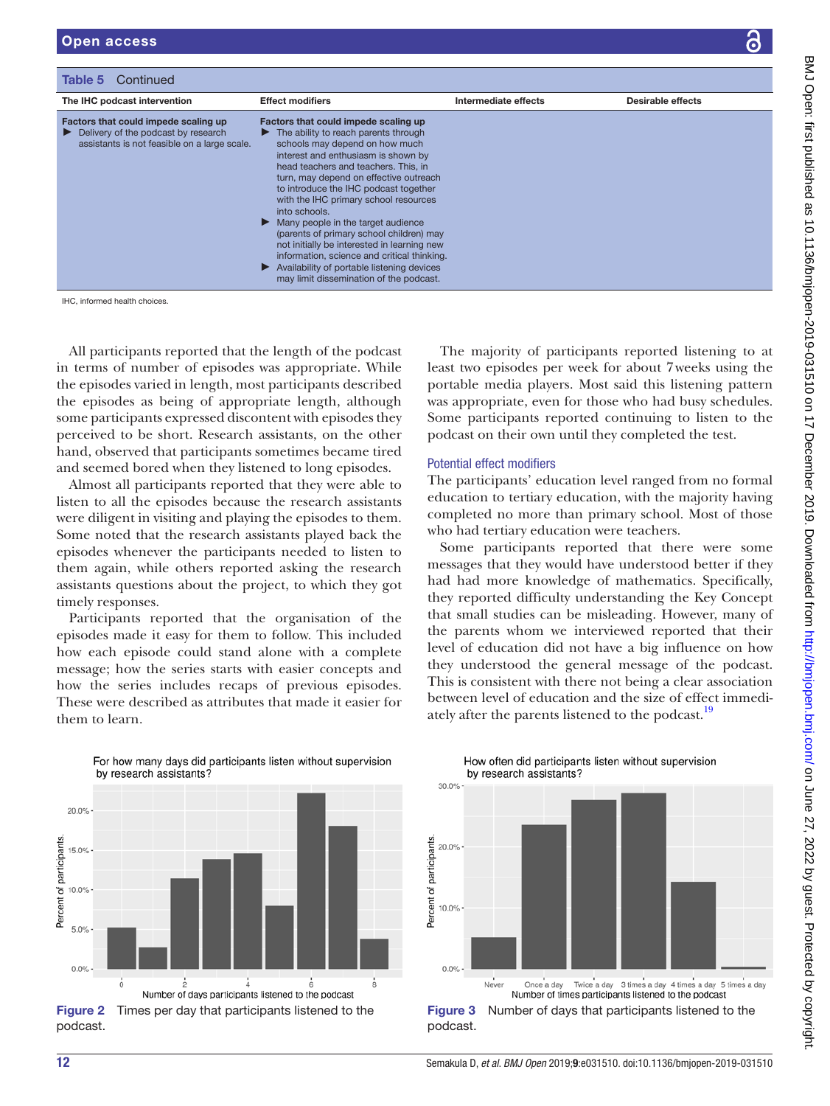| <b>Open access</b>                                                                                                          |                                                                                                                                                                                                                                                                                                                                                                                                                                                                                                                                                                                                                     |                      |                          |
|-----------------------------------------------------------------------------------------------------------------------------|---------------------------------------------------------------------------------------------------------------------------------------------------------------------------------------------------------------------------------------------------------------------------------------------------------------------------------------------------------------------------------------------------------------------------------------------------------------------------------------------------------------------------------------------------------------------------------------------------------------------|----------------------|--------------------------|
| Continued<br>Table 5                                                                                                        |                                                                                                                                                                                                                                                                                                                                                                                                                                                                                                                                                                                                                     |                      |                          |
| The IHC podcast intervention                                                                                                | <b>Effect modifiers</b>                                                                                                                                                                                                                                                                                                                                                                                                                                                                                                                                                                                             | Intermediate effects | <b>Desirable effects</b> |
| Factors that could impede scaling up<br>Delivery of the podcast by research<br>assistants is not feasible on a large scale. | Factors that could impede scaling up<br>The ability to reach parents through<br>schools may depend on how much<br>interest and enthusiasm is shown by<br>head teachers and teachers. This, in<br>turn, may depend on effective outreach<br>to introduce the IHC podcast together<br>with the IHC primary school resources<br>into schools.<br>Many people in the target audience<br>(parents of primary school children) may<br>not initially be interested in learning new<br>information, science and critical thinking.<br>Availability of portable listening devices<br>may limit dissemination of the podcast. |                      |                          |

IHC, informed health choices.

All participants reported that the length of the podcast in terms of number of episodes was appropriate. While the episodes varied in length, most participants described the episodes as being of appropriate length, although some participants expressed discontent with episodes they perceived to be short. Research assistants, on the other hand, observed that participants sometimes became tired and seemed bored when they listened to long episodes.

Almost all participants reported that they were able to listen to all the episodes because the research assistants were diligent in visiting and playing the episodes to them. Some noted that the research assistants played back the episodes whenever the participants needed to listen to them again, while others reported asking the research assistants questions about the project, to which they got timely responses.

Participants reported that the organisation of the episodes made it easy for them to follow. This included how each episode could stand alone with a complete message; how the series starts with easier concepts and how the series includes recaps of previous episodes. These were described as attributes that made it easier for them to learn.

The majority of participants reported listening to at least two episodes per week for about 7weeks using the portable media players. Most said this listening pattern was appropriate, even for those who had busy schedules. Some participants reported continuing to listen to the podcast on their own until they completed the test.

#### Potential effect modifiers

The participants' education level ranged from no formal education to tertiary education, with the majority having completed no more than primary school. Most of those who had tertiary education were teachers.

Some participants reported that there were some messages that they would have understood better if they had had more knowledge of mathematics. Specifically, they reported difficulty understanding the Key Concept that small studies can be misleading. However, many of the parents whom we interviewed reported that their level of education did not have a big influence on how they understood the general message of the podcast. This is consistent with there not being a clear association between level of education and the size of effect immediately after the parents listened to the podcast.<sup>19</sup>

<span id="page-11-0"></span>

For how many days did participants listen without supervision by research assistants?

How often did participants listen without supervision by research assistants?

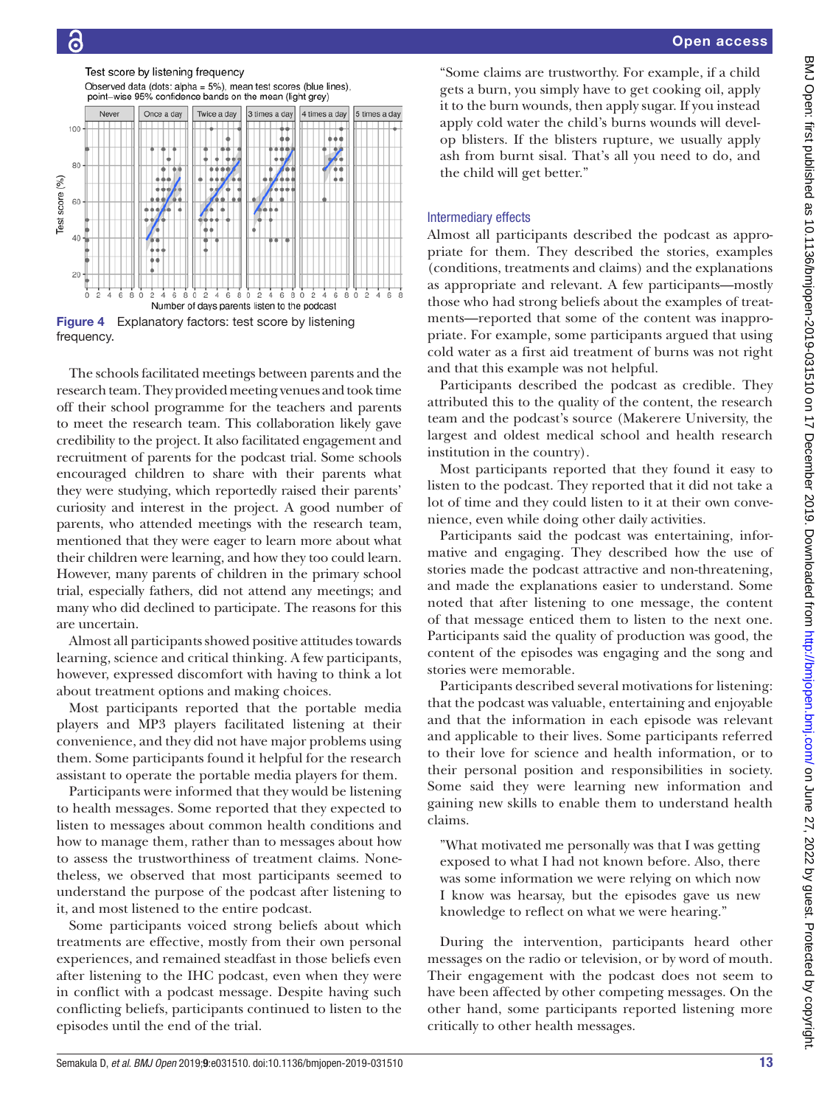

 $(%)$ 

Test score

Test score by listening frequency Observed data (dots: alpha = 5%), mean test scores (blue lines) point-wise 95% confidence bands on the mean (light grey) Once a day Twice a day Never 3 times a day 4 times a day 5 times a day 100  $R($  $40 20$ Number of days parents listen to the podcast

<span id="page-12-0"></span>Figure 4 Explanatory factors: test score by listening frequency.

The schools facilitated meetings between parents and the research team. They provided meeting venues and took time off their school programme for the teachers and parents to meet the research team. This collaboration likely gave credibility to the project. It also facilitated engagement and recruitment of parents for the podcast trial. Some schools encouraged children to share with their parents what they were studying, which reportedly raised their parents' curiosity and interest in the project. A good number of parents, who attended meetings with the research team, mentioned that they were eager to learn more about what their children were learning, and how they too could learn. However, many parents of children in the primary school trial, especially fathers, did not attend any meetings; and many who did declined to participate. The reasons for this are uncertain.

Almost all participants showed positive attitudes towards learning, science and critical thinking. A few participants, however, expressed discomfort with having to think a lot about treatment options and making choices.

Most participants reported that the portable media players and MP3 players facilitated listening at their convenience, and they did not have major problems using them. Some participants found it helpful for the research assistant to operate the portable media players for them.

Participants were informed that they would be listening to health messages. Some reported that they expected to listen to messages about common health conditions and how to manage them, rather than to messages about how to assess the trustworthiness of treatment claims. Nonetheless, we observed that most participants seemed to understand the purpose of the podcast after listening to it, and most listened to the entire podcast.

Some participants voiced strong beliefs about which treatments are effective, mostly from their own personal experiences, and remained steadfast in those beliefs even after listening to the IHC podcast, even when they were in conflict with a podcast message. Despite having such conflicting beliefs, participants continued to listen to the episodes until the end of the trial.

"Some claims are trustworthy. For example, if a child gets a burn, you simply have to get cooking oil, apply it to the burn wounds, then apply sugar. If you instead apply cold water the child's burns wounds will develop blisters. If the blisters rupture, we usually apply ash from burnt sisal. That's all you need to do, and the child will get better."

# Intermediary effects

Almost all participants described the podcast as appropriate for them. They described the stories, examples (conditions, treatments and claims) and the explanations as appropriate and relevant. A few participants—mostly those who had strong beliefs about the examples of treatments—reported that some of the content was inappropriate. For example, some participants argued that using cold water as a first aid treatment of burns was not right and that this example was not helpful.

Participants described the podcast as credible. They attributed this to the quality of the content, the research team and the podcast's source (Makerere University, the largest and oldest medical school and health research institution in the country).

Most participants reported that they found it easy to listen to the podcast. They reported that it did not take a lot of time and they could listen to it at their own convenience, even while doing other daily activities.

Participants said the podcast was entertaining, informative and engaging. They described how the use of stories made the podcast attractive and non-threatening, and made the explanations easier to understand. Some noted that after listening to one message, the content of that message enticed them to listen to the next one. Participants said the quality of production was good, the content of the episodes was engaging and the song and stories were memorable.

Participants described several motivations for listening: that the podcast was valuable, entertaining and enjoyable and that the information in each episode was relevant and applicable to their lives. Some participants referred to their love for science and health information, or to their personal position and responsibilities in society. Some said they were learning new information and gaining new skills to enable them to understand health claims.

"What motivated me personally was that I was getting exposed to what I had not known before. Also, there was some information we were relying on which now I know was hearsay, but the episodes gave us new knowledge to reflect on what we were hearing."

During the intervention, participants heard other messages on the radio or television, or by word of mouth. Their engagement with the podcast does not seem to have been affected by other competing messages. On the other hand, some participants reported listening more critically to other health messages.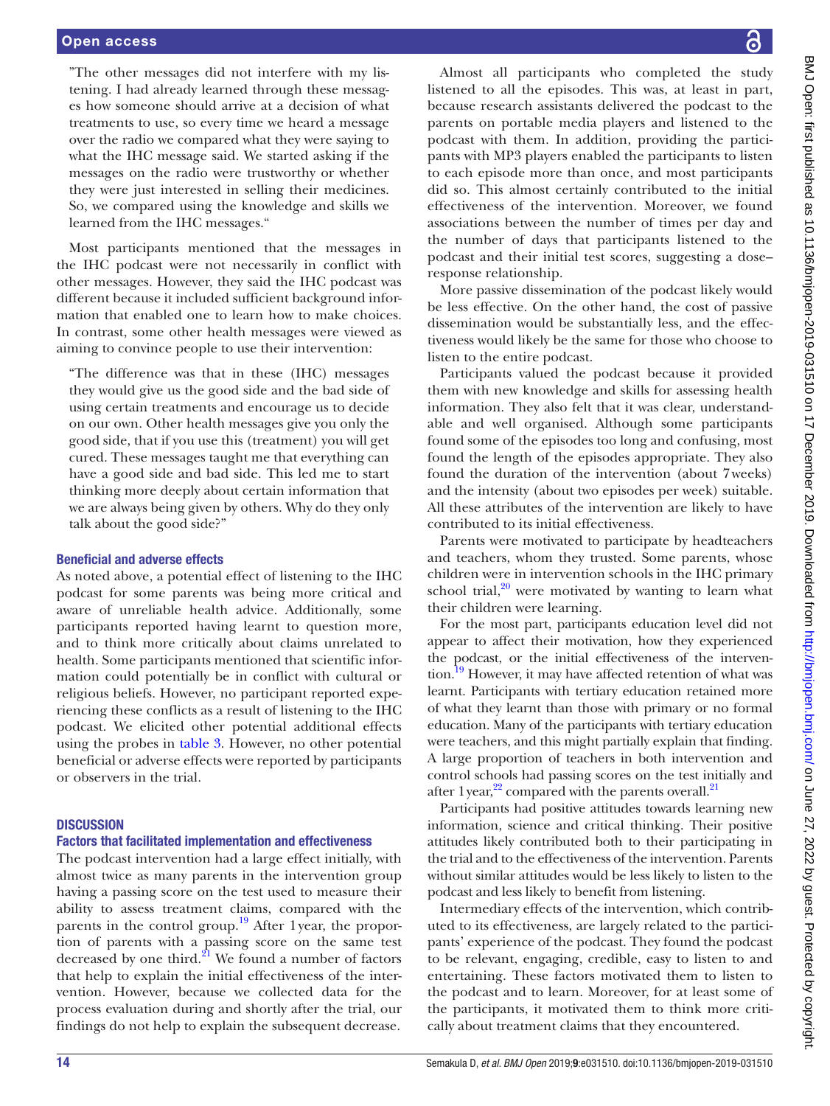"The other messages did not interfere with my listening. I had already learned through these messages how someone should arrive at a decision of what treatments to use, so every time we heard a message over the radio we compared what they were saying to what the IHC message said. We started asking if the messages on the radio were trustworthy or whether they were just interested in selling their medicines. So, we compared using the knowledge and skills we learned from the IHC messages."

Most participants mentioned that the messages in the IHC podcast were not necessarily in conflict with other messages. However, they said the IHC podcast was different because it included sufficient background information that enabled one to learn how to make choices. In contrast, some other health messages were viewed as aiming to convince people to use their intervention:

"The difference was that in these (IHC) messages they would give us the good side and the bad side of using certain treatments and encourage us to decide on our own. Other health messages give you only the good side, that if you use this (treatment) you will get cured. These messages taught me that everything can have a good side and bad side. This led me to start thinking more deeply about certain information that we are always being given by others. Why do they only talk about the good side?"

#### Beneficial and adverse effects

As noted above, a potential effect of listening to the IHC podcast for some parents was being more critical and aware of unreliable health advice. Additionally, some participants reported having learnt to question more, and to think more critically about claims unrelated to health. Some participants mentioned that scientific information could potentially be in conflict with cultural or religious beliefs. However, no participant reported experiencing these conflicts as a result of listening to the IHC podcast. We elicited other potential additional effects using the probes in [table](#page-5-0) 3. However, no other potential beneficial or adverse effects were reported by participants or observers in the trial.

#### **DISCUSSION**

#### Factors that facilitated implementation and effectiveness

The podcast intervention had a large effect initially, with almost twice as many parents in the intervention group having a passing score on the test used to measure their ability to assess treatment claims, compared with the parents in the control group.<sup>19</sup> After 1year, the proportion of parents with a passing score on the same test decreased by one third. $^{21}$  We found a number of factors that help to explain the initial effectiveness of the intervention. However, because we collected data for the process evaluation during and shortly after the trial, our findings do not help to explain the subsequent decrease.

Almost all participants who completed the study listened to all the episodes. This was, at least in part, because research assistants delivered the podcast to the parents on portable media players and listened to the podcast with them. In addition, providing the participants with MP3 players enabled the participants to listen to each episode more than once, and most participants did so. This almost certainly contributed to the initial effectiveness of the intervention. Moreover, we found associations between the number of times per day and the number of days that participants listened to the podcast and their initial test scores, suggesting a dose– response relationship.

More passive dissemination of the podcast likely would be less effective. On the other hand, the cost of passive dissemination would be substantially less, and the effectiveness would likely be the same for those who choose to listen to the entire podcast.

Participants valued the podcast because it provided them with new knowledge and skills for assessing health information. They also felt that it was clear, understandable and well organised. Although some participants found some of the episodes too long and confusing, most found the length of the episodes appropriate. They also found the duration of the intervention (about 7weeks) and the intensity (about two episodes per week) suitable. All these attributes of the intervention are likely to have contributed to its initial effectiveness.

Parents were motivated to participate by headteachers and teachers, whom they trusted. Some parents, whose children were in intervention schools in the IHC primary school trial, $2^0$  were motivated by wanting to learn what their children were learning.

For the most part, participants education level did not appear to affect their motivation, how they experienced the podcast, or the initial effectiveness of the intervention.<sup>19</sup> However, it may have affected retention of what was learnt. Participants with tertiary education retained more of what they learnt than those with primary or no formal education. Many of the participants with tertiary education were teachers, and this might partially explain that finding. A large proportion of teachers in both intervention and control schools had passing scores on the test initially and after 1 year, $^{22}$  compared with the parents overall. $^{21}$ 

Participants had positive attitudes towards learning new information, science and critical thinking. Their positive attitudes likely contributed both to their participating in the trial and to the effectiveness of the intervention. Parents without similar attitudes would be less likely to listen to the podcast and less likely to benefit from listening.

Intermediary effects of the intervention, which contributed to its effectiveness, are largely related to the participants' experience of the podcast. They found the podcast to be relevant, engaging, credible, easy to listen to and entertaining. These factors motivated them to listen to the podcast and to learn. Moreover, for at least some of the participants, it motivated them to think more critically about treatment claims that they encountered.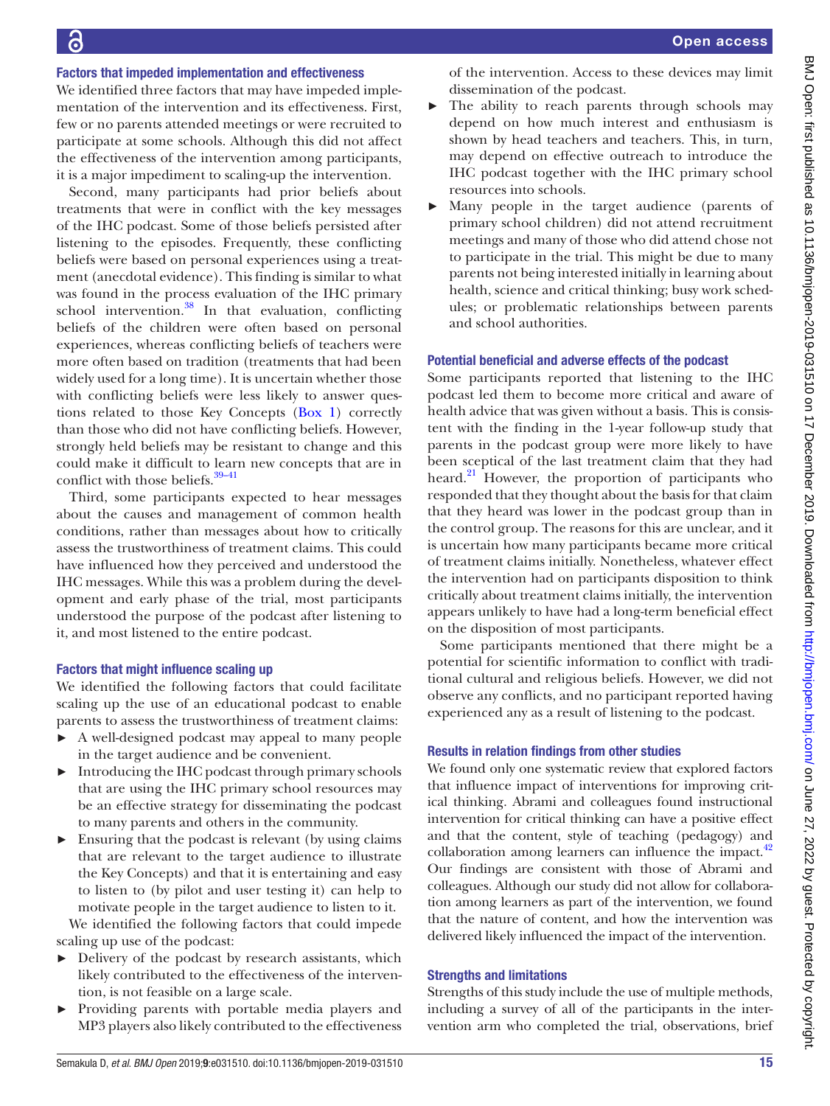# Factors that impeded implementation and effectiveness

We identified three factors that may have impeded implementation of the intervention and its effectiveness. First, few or no parents attended meetings or were recruited to participate at some schools. Although this did not affect the effectiveness of the intervention among participants, it is a major impediment to scaling-up the intervention.

Second, many participants had prior beliefs about treatments that were in conflict with the key messages of the IHC podcast. Some of those beliefs persisted after listening to the episodes. Frequently, these conflicting beliefs were based on personal experiences using a treatment (anecdotal evidence). This finding is similar to what was found in the process evaluation of the IHC primary school intervention. $38$  In that evaluation, conflicting beliefs of the children were often based on personal experiences, whereas conflicting beliefs of teachers were more often based on tradition (treatments that had been widely used for a long time). It is uncertain whether those with conflicting beliefs were less likely to answer questions related to those Key Concepts [\(Box](#page-2-0) 1) correctly than those who did not have conflicting beliefs. However, strongly held beliefs may be resistant to change and this could make it difficult to learn new concepts that are in conflict with those beliefs.<sup>39-41</sup>

Third, some participants expected to hear messages about the causes and management of common health conditions, rather than messages about how to critically assess the trustworthiness of treatment claims. This could have influenced how they perceived and understood the IHC messages. While this was a problem during the development and early phase of the trial, most participants understood the purpose of the podcast after listening to it, and most listened to the entire podcast.

### Factors that might influence scaling up

We identified the following factors that could facilitate scaling up the use of an educational podcast to enable parents to assess the trustworthiness of treatment claims:

- ► A well-designed podcast may appeal to many people in the target audience and be convenient.
- ► Introducing the IHC podcast through primary schools that are using the IHC primary school resources may be an effective strategy for disseminating the podcast to many parents and others in the community.
- Ensuring that the podcast is relevant (by using claims that are relevant to the target audience to illustrate the Key Concepts) and that it is entertaining and easy to listen to (by pilot and user testing it) can help to motivate people in the target audience to listen to it.

We identified the following factors that could impede scaling up use of the podcast:

- ► Delivery of the podcast by research assistants, which likely contributed to the effectiveness of the intervention, is not feasible on a large scale.
- ► Providing parents with portable media players and MP3 players also likely contributed to the effectiveness

of the intervention. Access to these devices may limit dissemination of the podcast.

- The ability to reach parents through schools may depend on how much interest and enthusiasm is shown by head teachers and teachers. This, in turn, may depend on effective outreach to introduce the IHC podcast together with the IHC primary school resources into schools.
- ► Many people in the target audience (parents of primary school children) did not attend recruitment meetings and many of those who did attend chose not to participate in the trial. This might be due to many parents not being interested initially in learning about health, science and critical thinking; busy work schedules; or problematic relationships between parents and school authorities.

# Potential beneficial and adverse effects of the podcast

Some participants reported that listening to the IHC podcast led them to become more critical and aware of health advice that was given without a basis. This is consistent with the finding in the 1-year follow-up study that parents in the podcast group were more likely to have been sceptical of the last treatment claim that they had heard.<sup>21</sup> However, the proportion of participants who responded that they thought about the basis for that claim that they heard was lower in the podcast group than in the control group. The reasons for this are unclear, and it is uncertain how many participants became more critical of treatment claims initially. Nonetheless, whatever effect the intervention had on participants disposition to think critically about treatment claims initially, the intervention appears unlikely to have had a long-term beneficial effect on the disposition of most participants.

Some participants mentioned that there might be a potential for scientific information to conflict with traditional cultural and religious beliefs. However, we did not observe any conflicts, and no participant reported having experienced any as a result of listening to the podcast.

### Results in relation findings from other studies

We found only one systematic review that explored factors that influence impact of interventions for improving critical thinking. Abrami and colleagues found instructional intervention for critical thinking can have a positive effect and that the content, style of teaching (pedagogy) and collaboration among learners can influence the impact. $42$ Our findings are consistent with those of Abrami and colleagues. Although our study did not allow for collaboration among learners as part of the intervention, we found that the nature of content, and how the intervention was delivered likely influenced the impact of the intervention.

# Strengths and limitations

Strengths of this study include the use of multiple methods, including a survey of all of the participants in the intervention arm who completed the trial, observations, brief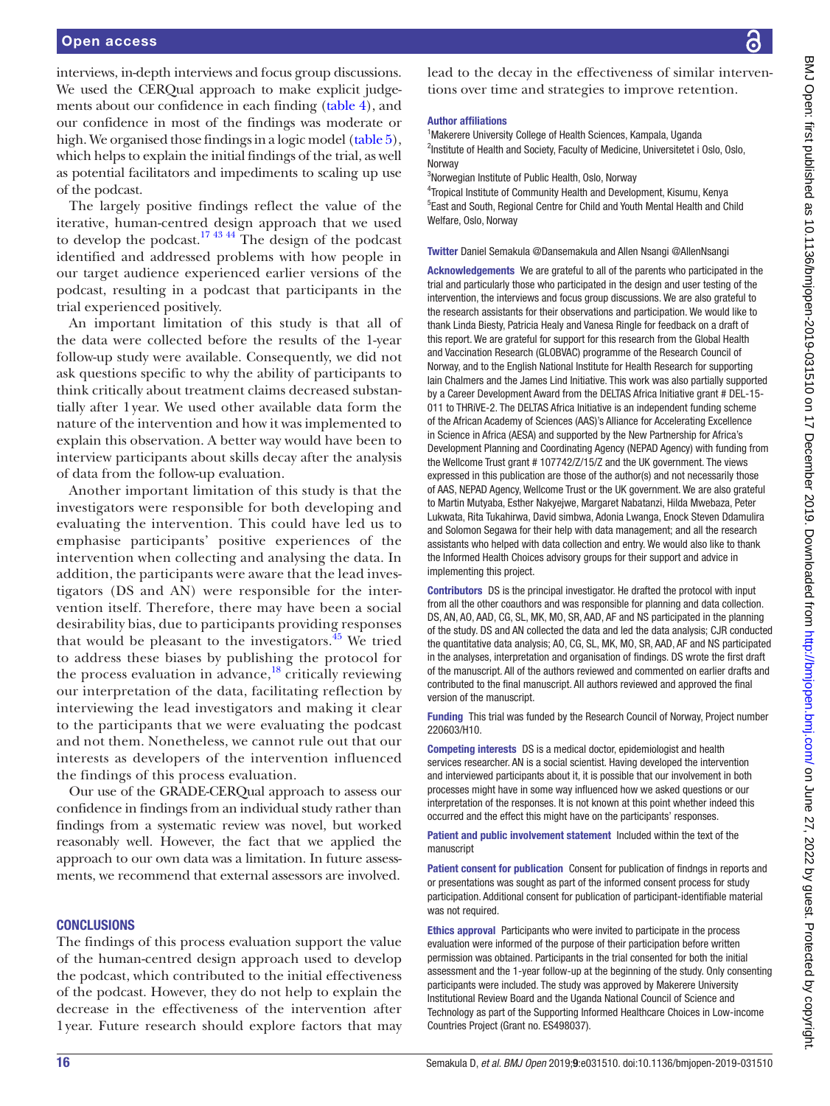interviews, in-depth interviews and focus group discussions. We used the CERQual approach to make explicit judgements about our confidence in each finding [\(table](#page-7-0) 4), and our confidence in most of the findings was moderate or high. We organised those findings in a logic model [\(table](#page-10-0) 5), which helps to explain the initial findings of the trial, as well as potential facilitators and impediments to scaling up use of the podcast.

The largely positive findings reflect the value of the iterative, human-centred design approach that we used to develop the podcast.<sup>17</sup><sup>43</sup> <sup>44</sup> The design of the podcast identified and addressed problems with how people in our target audience experienced earlier versions of the podcast, resulting in a podcast that participants in the trial experienced positively.

An important limitation of this study is that all of the data were collected before the results of the 1-year follow-up study were available. Consequently, we did not ask questions specific to why the ability of participants to think critically about treatment claims decreased substantially after 1year. We used other available data form the nature of the intervention and how it was implemented to explain this observation. A better way would have been to interview participants about skills decay after the analysis of data from the follow-up evaluation.

Another important limitation of this study is that the investigators were responsible for both developing and evaluating the intervention. This could have led us to emphasise participants' positive experiences of the intervention when collecting and analysing the data. In addition, the participants were aware that the lead investigators (DS and AN) were responsible for the intervention itself. Therefore, there may have been a social desirability bias, due to participants providing responses that would be pleasant to the investigators. $45$  We tried to address these biases by publishing the protocol for the process evaluation in advance,<sup>18</sup> critically reviewing our interpretation of the data, facilitating reflection by interviewing the lead investigators and making it clear to the participants that we were evaluating the podcast and not them. Nonetheless, we cannot rule out that our interests as developers of the intervention influenced the findings of this process evaluation.

Our use of the GRADE-CERQual approach to assess our confidence in findings from an individual study rather than findings from a systematic review was novel, but worked reasonably well. However, the fact that we applied the approach to our own data was a limitation. In future assessments, we recommend that external assessors are involved.

### **CONCLUSIONS**

The findings of this process evaluation support the value of the human-centred design approach used to develop the podcast, which contributed to the initial effectiveness of the podcast. However, they do not help to explain the decrease in the effectiveness of the intervention after 1year. Future research should explore factors that may

lead to the decay in the effectiveness of similar interventions over time and strategies to improve retention.

#### Author affiliations

<sup>1</sup> Makerere University College of Health Sciences, Kampala, Uganda <sup>2</sup>Institute of Health and Society, Faculty of Medicine, Universitetet i Oslo, Oslo, Norway

3 Norwegian Institute of Public Health, Oslo, Norway

4 Tropical Institute of Community Health and Development, Kisumu, Kenya 5 East and South, Regional Centre for Child and Youth Mental Health and Child Welfare, Oslo, Norway

Twitter Daniel Semakula [@Dansemakula](https://twitter.com/Dansemakula) and Allen Nsangi [@AllenNsangi](https://twitter.com/AllenNsangi)

Acknowledgements We are grateful to all of the parents who participated in the trial and particularly those who participated in the design and user testing of the intervention, the interviews and focus group discussions. We are also grateful to the research assistants for their observations and participation. We would like to thank Linda Biesty, Patricia Healy and Vanesa Ringle for feedback on a draft of this report. We are grateful for support for this research from the Global Health and Vaccination Research (GLOBVAC) programme of the Research Council of Norway, and to the English National Institute for Health Research for supporting Iain Chalmers and the James Lind Initiative. This work was also partially supported by a Career Development Award from the DELTAS Africa Initiative grant # DEL-15- 011 to THRiVE-2. The DELTAS Africa Initiative is an independent funding scheme of the African Academy of Sciences (AAS)'s Alliance for Accelerating Excellence in Science in Africa (AESA) and supported by the New Partnership for Africa's Development Planning and Coordinating Agency (NEPAD Agency) with funding from the Wellcome Trust grant # 107742/Z/15/Z and the UK government. The views expressed in this publication are those of the author(s) and not necessarily those of AAS, NEPAD Agency, Wellcome Trust or the UK government. We are also grateful to Martin Mutyaba, Esther Nakyejwe, Margaret Nabatanzi, Hilda Mwebaza, Peter Lukwata, Rita Tukahirwa, David simbwa, Adonia Lwanga, Enock Steven Ddamulira and Solomon Segawa for their help with data management; and all the research assistants who helped with data collection and entry. We would also like to thank the Informed Health Choices advisory groups for their support and advice in implementing this project.

Contributors DS is the principal investigator. He drafted the protocol with input from all the other coauthors and was responsible for planning and data collection. DS, AN, AO, AAD, CG, SL, MK, MO, SR, AAD, AF and NS participated in the planning of the study. DS and AN collected the data and led the data analysis; CJR conducted the quantitative data analysis; AO, CG, SL, MK, MO, SR, AAD, AF and NS participated in the analyses, interpretation and organisation of findings. DS wrote the first draft of the manuscript. All of the authors reviewed and commented on earlier drafts and contributed to the final manuscript. All authors reviewed and approved the final version of the manuscript.

Funding This trial was funded by the Research Council of Norway, Project number 220603/H10.

Competing interests DS is a medical doctor, epidemiologist and health services researcher. AN is a social scientist. Having developed the intervention and interviewed participants about it, it is possible that our involvement in both processes might have in some way influenced how we asked questions or our interpretation of the responses. It is not known at this point whether indeed this occurred and the effect this might have on the participants' responses.

Patient and public involvement statement Included within the text of the manuscript

Patient consent for publication Consent for publication of findngs in reports and or presentations was sought as part of the informed consent process for study participation. Additional consent for publication of participant-identifiable material was not required.

Ethics approval Participants who were invited to participate in the process evaluation were informed of the purpose of their participation before written permission was obtained. Participants in the trial consented for both the initial assessment and the 1-year follow-up at the beginning of the study. Only consenting participants were included. The study was approved by Makerere University Institutional Review Board and the Uganda National Council of Science and Technology as part of the Supporting Informed Healthcare Choices in Low-income Countries Project (Grant no. ES498037).